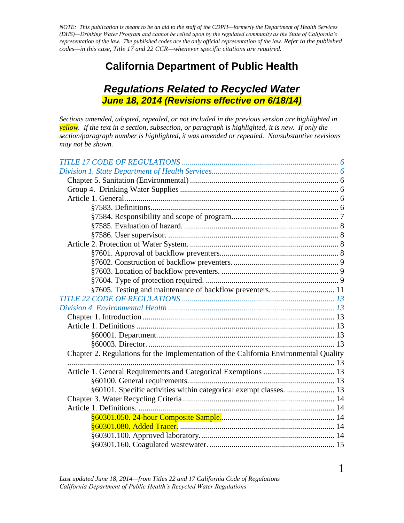# **California Department of Public Health**

# *Regulations Related to Recycled Water June 18, 2014 (Revisions effective on 6/18/14)*

*Sections amended, adopted, repealed, or not included in the previous version are highlighted in yellow. If the text in a section, subsection, or paragraph is highlighted, it is new. If only the section/paragraph number is highlighted, it was amended or repealed. Nonsubstantive revisions may not be shown.* 

| §7605. Testing and maintenance of backflow preventers 11                              |  |
|---------------------------------------------------------------------------------------|--|
|                                                                                       |  |
|                                                                                       |  |
|                                                                                       |  |
|                                                                                       |  |
|                                                                                       |  |
|                                                                                       |  |
| Chapter 2. Regulations for the Implementation of the California Environmental Quality |  |
|                                                                                       |  |
|                                                                                       |  |
|                                                                                       |  |
| §60101. Specific activities within categorical exempt classes.  13                    |  |
|                                                                                       |  |
|                                                                                       |  |
|                                                                                       |  |
|                                                                                       |  |
|                                                                                       |  |
|                                                                                       |  |

1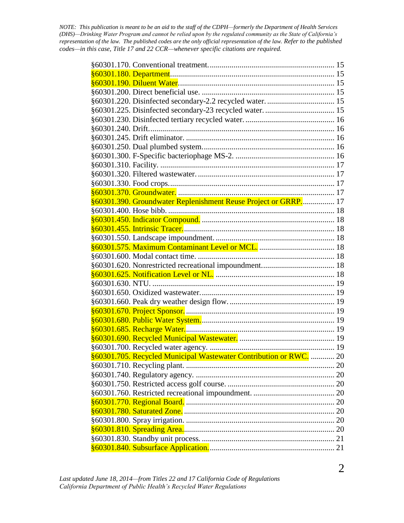| §60301.390. Groundwater Replenishment Reuse Project or GRRP 17     |  |
|--------------------------------------------------------------------|--|
|                                                                    |  |
|                                                                    |  |
|                                                                    |  |
|                                                                    |  |
|                                                                    |  |
|                                                                    |  |
|                                                                    |  |
|                                                                    |  |
|                                                                    |  |
|                                                                    |  |
|                                                                    |  |
|                                                                    |  |
|                                                                    |  |
|                                                                    |  |
|                                                                    |  |
|                                                                    |  |
| §60301.705. Recycled Municipal Wastewater Contribution or RWC.  20 |  |
|                                                                    |  |
|                                                                    |  |
|                                                                    |  |
|                                                                    |  |
|                                                                    |  |
|                                                                    |  |
|                                                                    |  |
|                                                                    |  |
|                                                                    |  |
|                                                                    |  |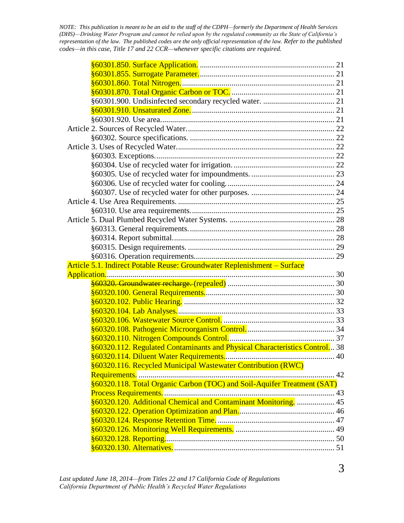| Article 5.1. Indirect Potable Reuse: Groundwater Replenishment – Surface   |  |
|----------------------------------------------------------------------------|--|
|                                                                            |  |
|                                                                            |  |
|                                                                            |  |
|                                                                            |  |
|                                                                            |  |
|                                                                            |  |
|                                                                            |  |
|                                                                            |  |
| §60320.112. Regulated Contaminants and Physical Characteristics Control 38 |  |
|                                                                            |  |
| §60320.116. Recycled Municipal Wastewater Contribution (RWC)               |  |
|                                                                            |  |
| §60320.118. Total Organic Carbon (TOC) and Soil-Aquifer Treatment (SAT)    |  |
|                                                                            |  |
| §60320.120. Additional Chemical and Contaminant Monitoring.  45            |  |
|                                                                            |  |
|                                                                            |  |
|                                                                            |  |
|                                                                            |  |

3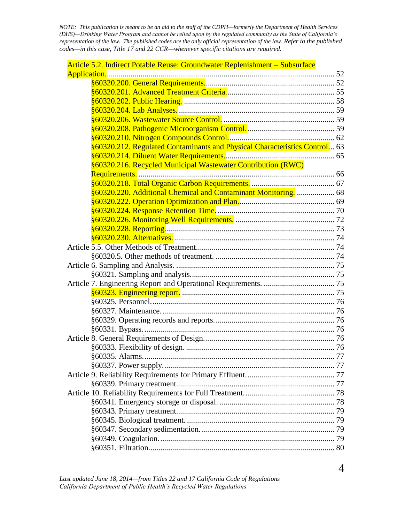#### [Article 5.2. Indirect Potable Reuse: Groundwater Replenishment –](#page-51-0) Subsurface

| §60320.212. Regulated Contaminants and Physical Characteristics Control 63 |  |
|----------------------------------------------------------------------------|--|
|                                                                            |  |
| §60320.216. Recycled Municipal Wastewater Contribution (RWC)               |  |
|                                                                            |  |
|                                                                            |  |
| §60320.220. Additional Chemical and Contaminant Monitoring.  68            |  |
|                                                                            |  |
|                                                                            |  |
|                                                                            |  |
|                                                                            |  |
|                                                                            |  |
|                                                                            |  |
|                                                                            |  |
|                                                                            |  |
|                                                                            |  |
|                                                                            |  |
|                                                                            |  |
|                                                                            |  |
|                                                                            |  |
|                                                                            |  |
|                                                                            |  |
|                                                                            |  |
|                                                                            |  |
|                                                                            |  |
|                                                                            |  |
|                                                                            |  |
|                                                                            |  |
|                                                                            |  |
|                                                                            |  |
|                                                                            |  |
|                                                                            |  |
|                                                                            |  |
|                                                                            |  |
|                                                                            |  |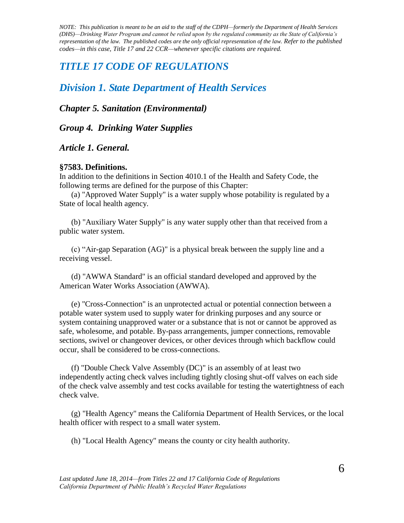# <span id="page-5-0"></span>*TITLE 17 CODE OF REGULATIONS*

# <span id="page-5-1"></span>*Division 1. State Department of Health Services*

# <span id="page-5-2"></span>*Chapter 5. Sanitation (Environmental)*

<span id="page-5-3"></span>*Group 4. Drinking Water Supplies*

## <span id="page-5-4"></span>*Article 1. General.*

## <span id="page-5-5"></span>**§7583. Definitions.**

In addition to the definitions in Section 4010.1 of the Health and Safety Code, the following terms are defined for the purpose of this Chapter:

(a) "Approved Water Supply" is a water supply whose potability is regulated by a State of local health agency.

(b) "Auxiliary Water Supply" is any water supply other than that received from a public water system.

(c) "Air-gap Separation (AG)" is a physical break between the supply line and a receiving vessel.

(d) "AWWA Standard" is an official standard developed and approved by the American Water Works Association (AWWA).

(e) "Cross-Connection" is an unprotected actual or potential connection between a potable water system used to supply water for drinking purposes and any source or system containing unapproved water or a substance that is not or cannot be approved as safe, wholesome, and potable. By-pass arrangements, jumper connections, removable sections, swivel or changeover devices, or other devices through which backflow could occur, shall be considered to be cross-connections.

(f) "Double Check Valve Assembly (DC)" is an assembly of at least two independently acting check valves including tightly closing shut-off valves on each side of the check valve assembly and test cocks available for testing the watertightness of each check valve.

(g) "Health Agency" means the California Department of Health Services, or the local health officer with respect to a small water system.

(h) "Local Health Agency" means the county or city health authority.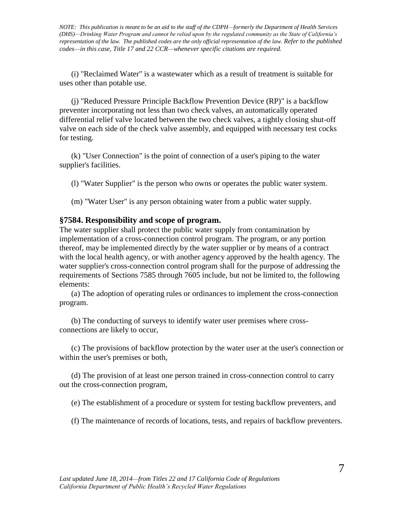(i) "Reclaimed Water" is a wastewater which as a result of treatment is suitable for uses other than potable use.

(j) "Reduced Pressure Principle Backflow Prevention Device (RP)" is a backflow preventer incorporating not less than two check valves, an automatically operated differential relief valve located between the two check valves, a tightly closing shut-off valve on each side of the check valve assembly, and equipped with necessary test cocks for testing.

(k) "User Connection" is the point of connection of a user's piping to the water supplier's facilities.

(l) "Water Supplier" is the person who owns or operates the public water system.

(m) "Water User" is any person obtaining water from a public water supply.

#### <span id="page-6-0"></span>**§7584. Responsibility and scope of program.**

The water supplier shall protect the public water supply from contamination by implementation of a cross-connection control program. The program, or any portion thereof, may be implemented directly by the water supplier or by means of a contract with the local health agency, or with another agency approved by the health agency. The water supplier's cross-connection control program shall for the purpose of addressing the requirements of Sections 7585 through 7605 include, but not be limited to, the following elements:

(a) The adoption of operating rules or ordinances to implement the cross-connection program.

(b) The conducting of surveys to identify water user premises where crossconnections are likely to occur,

(c) The provisions of backflow protection by the water user at the user's connection or within the user's premises or both,

(d) The provision of at least one person trained in cross-connection control to carry out the cross-connection program,

(e) The establishment of a procedure or system for testing backflow preventers, and

(f) The maintenance of records of locations, tests, and repairs of backflow preventers.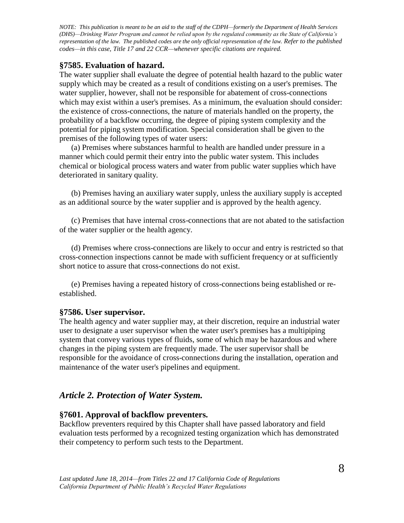## <span id="page-7-0"></span>**§7585. Evaluation of hazard.**

The water supplier shall evaluate the degree of potential health hazard to the public water supply which may be created as a result of conditions existing on a user's premises. The water supplier, however, shall not be responsible for abatement of cross-connections which may exist within a user's premises. As a minimum, the evaluation should consider: the existence of cross-connections, the nature of materials handled on the property, the probability of a backflow occurring, the degree of piping system complexity and the potential for piping system modification. Special consideration shall be given to the premises of the following types of water users:

(a) Premises where substances harmful to health are handled under pressure in a manner which could permit their entry into the public water system. This includes chemical or biological process waters and water from public water supplies which have deteriorated in sanitary quality.

(b) Premises having an auxiliary water supply, unless the auxiliary supply is accepted as an additional source by the water supplier and is approved by the health agency.

(c) Premises that have internal cross-connections that are not abated to the satisfaction of the water supplier or the health agency.

(d) Premises where cross-connections are likely to occur and entry is restricted so that cross-connection inspections cannot be made with sufficient frequency or at sufficiently short notice to assure that cross-connections do not exist.

(e) Premises having a repeated history of cross-connections being established or reestablished.

#### <span id="page-7-1"></span>**§7586. User supervisor.**

The health agency and water supplier may, at their discretion, require an industrial water user to designate a user supervisor when the water user's premises has a multipiping system that convey various types of fluids, some of which may be hazardous and where changes in the piping system are frequently made. The user supervisor shall be responsible for the avoidance of cross-connections during the installation, operation and maintenance of the water user's pipelines and equipment.

# <span id="page-7-2"></span>*Article 2. Protection of Water System.*

#### <span id="page-7-3"></span>**§7601. Approval of backflow preventers.**

Backflow preventers required by this Chapter shall have passed laboratory and field evaluation tests performed by a recognized testing organization which has demonstrated their competency to perform such tests to the Department.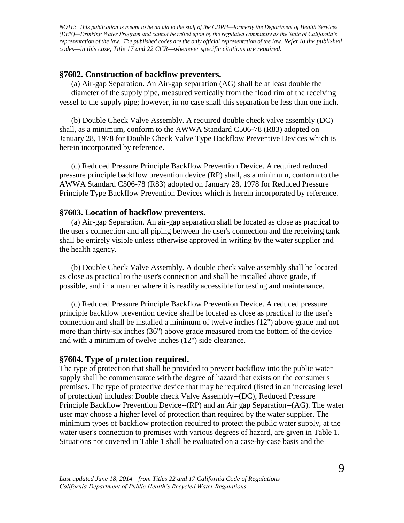#### <span id="page-8-0"></span>**§7602. Construction of backflow preventers.**

(a) Air-gap Separation. An Air-gap separation (AG) shall be at least double the diameter of the supply pipe, measured vertically from the flood rim of the receiving vessel to the supply pipe; however, in no case shall this separation be less than one inch.

(b) Double Check Valve Assembly. A required double check valve assembly (DC) shall, as a minimum, conform to the AWWA Standard C506-78 (R83) adopted on January 28, 1978 for Double Check Valve Type Backflow Preventive Devices which is herein incorporated by reference.

(c) Reduced Pressure Principle Backflow Prevention Device. A required reduced pressure principle backflow prevention device (RP) shall, as a minimum, conform to the AWWA Standard C506-78 (R83) adopted on January 28, 1978 for Reduced Pressure Principle Type Backflow Prevention Devices which is herein incorporated by reference.

#### <span id="page-8-1"></span>**§7603. Location of backflow preventers.**

(a) Air-gap Separation. An air-gap separation shall be located as close as practical to the user's connection and all piping between the user's connection and the receiving tank shall be entirely visible unless otherwise approved in writing by the water supplier and the health agency.

(b) Double Check Valve Assembly. A double check valve assembly shall be located as close as practical to the user's connection and shall be installed above grade, if possible, and in a manner where it is readily accessible for testing and maintenance.

(c) Reduced Pressure Principle Backflow Prevention Device. A reduced pressure principle backflow prevention device shall be located as close as practical to the user's connection and shall be installed a minimum of twelve inches (12") above grade and not more than thirty-six inches (36") above grade measured from the bottom of the device and with a minimum of twelve inches (12") side clearance.

#### <span id="page-8-2"></span>**§7604. Type of protection required.**

The type of protection that shall be provided to prevent backflow into the public water supply shall be commensurate with the degree of hazard that exists on the consumer's premises. The type of protective device that may be required (listed in an increasing level of protection) includes: Double check Valve Assembly--(DC), Reduced Pressure Principle Backflow Prevention Device--(RP) and an Air gap Separation--(AG). The water user may choose a higher level of protection than required by the water supplier. The minimum types of backflow protection required to protect the public water supply, at the water user's connection to premises with various degrees of hazard, are given in Table 1. Situations not covered in Table 1 shall be evaluated on a case-by-case basis and the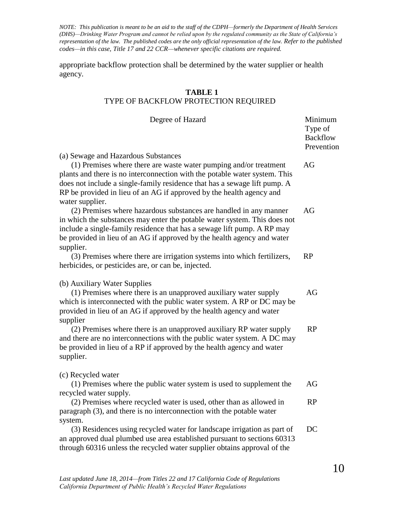appropriate backflow protection shall be determined by the water supplier or health agency.

#### **TABLE 1**

## TYPE OF BACKFLOW PROTECTION REQUIRED

| Degree of Hazard                                                                                                                                                                                                                                                                                                                            | Minimum<br>Type of<br><b>Backflow</b><br>Prevention |
|---------------------------------------------------------------------------------------------------------------------------------------------------------------------------------------------------------------------------------------------------------------------------------------------------------------------------------------------|-----------------------------------------------------|
| (a) Sewage and Hazardous Substances<br>(1) Premises where there are waste water pumping and/or treatment<br>plants and there is no interconnection with the potable water system. This<br>does not include a single-family residence that has a sewage lift pump. A<br>RP be provided in lieu of an AG if approved by the health agency and | AG                                                  |
| water supplier.<br>(2) Premises where hazardous substances are handled in any manner<br>in which the substances may enter the potable water system. This does not<br>include a single-family residence that has a sewage lift pump. A RP may<br>be provided in lieu of an AG if approved by the health agency and water<br>supplier.        | AG                                                  |
| (3) Premises where there are irrigation systems into which fertilizers,<br>herbicides, or pesticides are, or can be, injected.                                                                                                                                                                                                              | <b>RP</b>                                           |
| (b) Auxiliary Water Supplies<br>(1) Premises where there is an unapproved auxiliary water supply<br>which is interconnected with the public water system. A RP or DC may be<br>provided in lieu of an AG if approved by the health agency and water                                                                                         | AG                                                  |
| supplier<br>(2) Premises where there is an unapproved auxiliary RP water supply<br>and there are no interconnections with the public water system. A DC may<br>be provided in lieu of a RP if approved by the health agency and water<br>supplier.                                                                                          | RP                                                  |
| (c) Recycled water<br>(1) Premises where the public water system is used to supplement the                                                                                                                                                                                                                                                  | AG                                                  |
| recycled water supply.<br>(2) Premises where recycled water is used, other than as allowed in<br>paragraph (3), and there is no interconnection with the potable water                                                                                                                                                                      | RP                                                  |
| system.<br>(3) Residences using recycled water for landscape irrigation as part of<br>an approved dual plumbed use area established pursuant to sections 60313<br>through 60316 unless the recycled water supplier obtains approval of the                                                                                                  | <b>DC</b>                                           |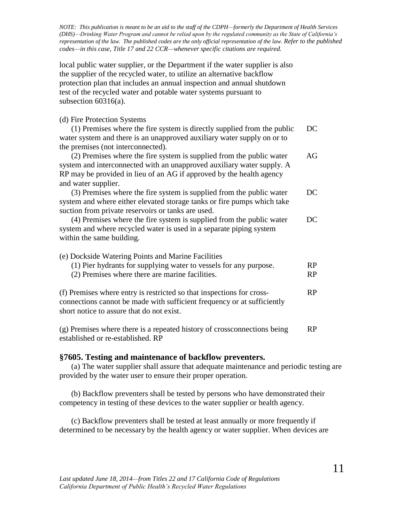local public water supplier, or the Department if the water supplier is also the supplier of the recycled water, to utilize an alternative backflow protection plan that includes an annual inspection and annual shutdown test of the recycled water and potable water systems pursuant to subsection 60316(a).

#### (d) Fire Protection Systems

(1) Premises where the fire system is directly supplied from the public water system and there is an unapproved auxiliary water supply on or to the premises (not interconnected). DC

(2) Premises where the fire system is supplied from the public water system and interconnected with an unapproved auxiliary water supply. A RP may be provided in lieu of an AG if approved by the health agency and water supplier. AG

(3) Premises where the fire system is supplied from the public water system and where either elevated storage tanks or fire pumps which take suction from private reservoirs or tanks are used. DC

(4) Premises where the fire system is supplied from the public water system and where recycled water is used in a separate piping system within the same building. DC

| (e) Dockside Watering Points and Marine Facilities<br>(1) Pier hydrants for supplying water to vessels for any purpose.<br>(2) Premises where there are marine facilities.                    | <b>RP</b><br><b>RP</b> |
|-----------------------------------------------------------------------------------------------------------------------------------------------------------------------------------------------|------------------------|
| (f) Premises where entry is restricted so that inspections for cross-<br>connections cannot be made with sufficient frequency or at sufficiently<br>short notice to assure that do not exist. | <b>RP</b>              |

(g) Premises where there is a repeated history of crossconnections being established or re-established. RP RP

#### <span id="page-10-0"></span>**§7605. Testing and maintenance of backflow preventers.**

(a) The water supplier shall assure that adequate maintenance and periodic testing are provided by the water user to ensure their proper operation.

(b) Backflow preventers shall be tested by persons who have demonstrated their competency in testing of these devices to the water supplier or health agency.

(c) Backflow preventers shall be tested at least annually or more frequently if determined to be necessary by the health agency or water supplier. When devices are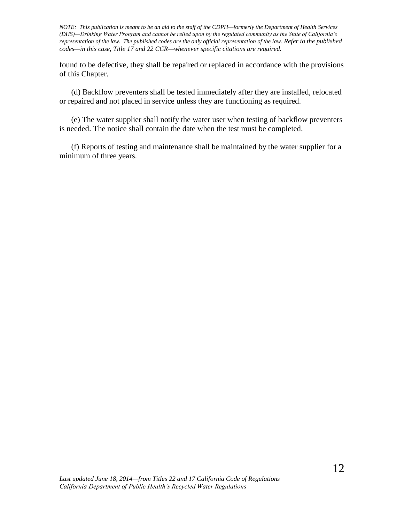found to be defective, they shall be repaired or replaced in accordance with the provisions of this Chapter.

(d) Backflow preventers shall be tested immediately after they are installed, relocated or repaired and not placed in service unless they are functioning as required.

(e) The water supplier shall notify the water user when testing of backflow preventers is needed. The notice shall contain the date when the test must be completed.

(f) Reports of testing and maintenance shall be maintained by the water supplier for a minimum of three years.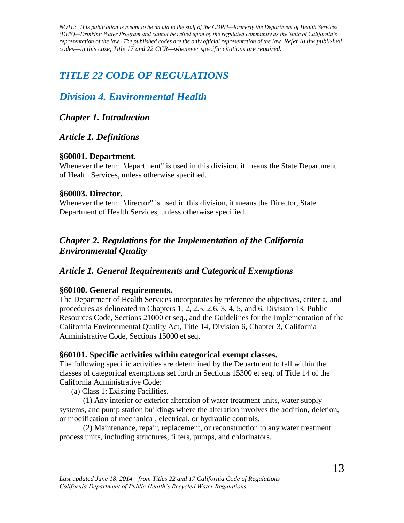# <span id="page-12-0"></span>*TITLE 22 CODE OF REGULATIONS*

# <span id="page-12-1"></span>*Division 4. Environmental Health*

# <span id="page-12-2"></span>*Chapter 1. Introduction*

## <span id="page-12-3"></span>*Article 1. Definitions*

## <span id="page-12-4"></span>**§60001. Department.**

Whenever the term "department" is used in this division, it means the State Department of Health Services, unless otherwise specified.

## <span id="page-12-5"></span>**§60003. Director.**

Whenever the term "director" is used in this division, it means the Director, State Department of Health Services, unless otherwise specified.

# <span id="page-12-6"></span>*Chapter 2. Regulations for the Implementation of the California Environmental Quality*

# <span id="page-12-7"></span>*Article 1. General Requirements and Categorical Exemptions*

## <span id="page-12-8"></span>**§60100. General requirements.**

The Department of Health Services incorporates by reference the objectives, criteria, and procedures as delineated in Chapters 1, 2, 2.5, 2.6, 3, 4, 5, and 6, Division 13, Public Resources Code, Sections 21000 et seq., and the Guidelines for the Implementation of the California Environmental Quality Act, Title 14, Division 6, Chapter 3, California Administrative Code, Sections 15000 et seq.

## <span id="page-12-9"></span>**§60101. Specific activities within categorical exempt classes.**

The following specific activities are determined by the Department to fall within the classes of categorical exemptions set forth in Sections 15300 et seq. of Title 14 of the California Administrative Code:

(a) Class 1: Existing Facilities.

(1) Any interior or exterior alteration of water treatment units, water supply systems, and pump station buildings where the alteration involves the addition, deletion, or modification of mechanical, electrical, or hydraulic controls.

(2) Maintenance, repair, replacement, or reconstruction to any water treatment process units, including structures, filters, pumps, and chlorinators.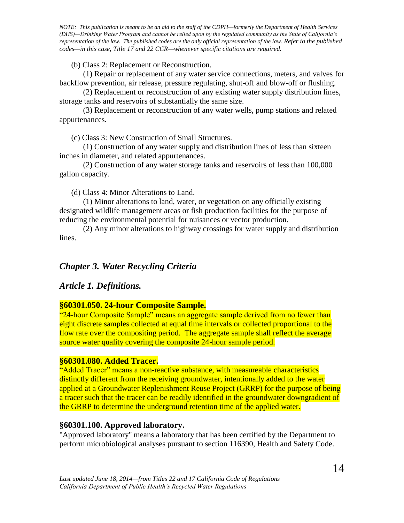(b) Class 2: Replacement or Reconstruction.

(1) Repair or replacement of any water service connections, meters, and valves for backflow prevention, air release, pressure regulating, shut-off and blow-off or flushing.

(2) Replacement or reconstruction of any existing water supply distribution lines, storage tanks and reservoirs of substantially the same size.

(3) Replacement or reconstruction of any water wells, pump stations and related appurtenances.

(c) Class 3: New Construction of Small Structures.

(1) Construction of any water supply and distribution lines of less than sixteen inches in diameter, and related appurtenances.

(2) Construction of any water storage tanks and reservoirs of less than 100,000 gallon capacity.

(d) Class 4: Minor Alterations to Land.

(1) Minor alterations to land, water, or vegetation on any officially existing designated wildlife management areas or fish production facilities for the purpose of reducing the environmental potential for nuisances or vector production.

(2) Any minor alterations to highway crossings for water supply and distribution lines.

# <span id="page-13-0"></span>*Chapter 3. Water Recycling Criteria*

<span id="page-13-1"></span>*Article 1. Definitions.*

#### <span id="page-13-2"></span>**§60301.050. 24-hour Composite Sample.**

"24-hour Composite Sample" means an aggregate sample derived from no fewer than eight discrete samples collected at equal time intervals or collected proportional to the flow rate over the compositing period. The aggregate sample shall reflect the average source water quality covering the composite 24-hour sample period.

## <span id="page-13-3"></span>**§60301.080. Added Tracer.**

"Added Tracer" means a non-reactive substance, with measureable characteristics distinctly different from the receiving groundwater, intentionally added to the water applied at a Groundwater Replenishment Reuse Project (GRRP) for the purpose of being a tracer such that the tracer can be readily identified in the groundwater downgradient of the GRRP to determine the underground retention time of the applied water.

## <span id="page-13-4"></span>**§60301.100. Approved laboratory.**

"Approved laboratory" means a laboratory that has been certified by the Department to perform microbiological analyses pursuant to section 116390, Health and Safety Code.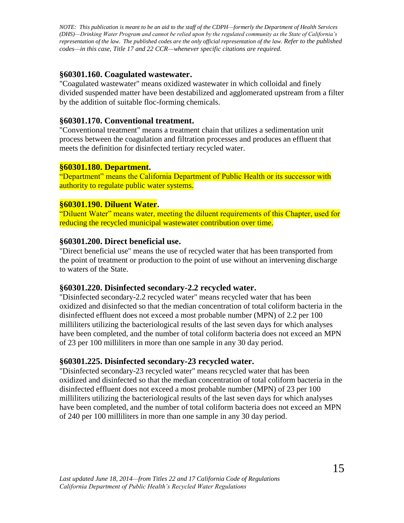### <span id="page-14-0"></span>**§60301.160. Coagulated wastewater.**

"Coagulated wastewater" means oxidized wastewater in which colloidal and finely divided suspended matter have been destabilized and agglomerated upstream from a filter by the addition of suitable floc-forming chemicals.

### <span id="page-14-1"></span>**§60301.170. Conventional treatment.**

"Conventional treatment" means a treatment chain that utilizes a sedimentation unit process between the coagulation and filtration processes and produces an effluent that meets the definition for disinfected tertiary recycled water.

#### <span id="page-14-2"></span>**§60301.180. Department.**

"Department" means the California Department of Public Health or its successor with authority to regulate public water systems.

## <span id="page-14-3"></span>**§60301.190. Diluent Water.**

"Diluent Water" means water, meeting the diluent requirements of this Chapter, used for reducing the recycled municipal wastewater contribution over time.

## <span id="page-14-4"></span>**§60301.200. Direct beneficial use.**

"Direct beneficial use" means the use of recycled water that has been transported from the point of treatment or production to the point of use without an intervening discharge to waters of the State.

## <span id="page-14-5"></span>**§60301.220. Disinfected secondary-2.2 recycled water.**

"Disinfected secondary-2.2 recycled water" means recycled water that has been oxidized and disinfected so that the median concentration of total coliform bacteria in the disinfected effluent does not exceed a most probable number (MPN) of 2.2 per 100 milliliters utilizing the bacteriological results of the last seven days for which analyses have been completed, and the number of total coliform bacteria does not exceed an MPN of 23 per 100 milliliters in more than one sample in any 30 day period.

## <span id="page-14-6"></span>**§60301.225. Disinfected secondary-23 recycled water.**

"Disinfected secondary-23 recycled water" means recycled water that has been oxidized and disinfected so that the median concentration of total coliform bacteria in the disinfected effluent does not exceed a most probable number (MPN) of 23 per 100 milliliters utilizing the bacteriological results of the last seven days for which analyses have been completed, and the number of total coliform bacteria does not exceed an MPN of 240 per 100 milliliters in more than one sample in any 30 day period.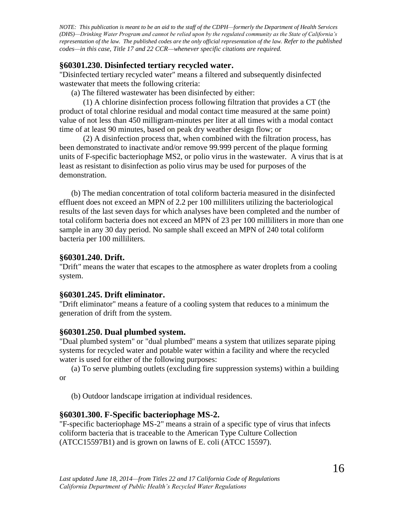## <span id="page-15-0"></span>**§60301.230. Disinfected tertiary recycled water.**

"Disinfected tertiary recycled water" means a filtered and subsequently disinfected wastewater that meets the following criteria:

(a) The filtered wastewater has been disinfected by either:

(1) A chlorine disinfection process following filtration that provides a CT (the product of total chlorine residual and modal contact time measured at the same point) value of not less than 450 milligram-minutes per liter at all times with a modal contact time of at least 90 minutes, based on peak dry weather design flow; or

(2) A disinfection process that, when combined with the filtration process, has been demonstrated to inactivate and/or remove 99.999 percent of the plaque forming units of F-specific bacteriophage MS2, or polio virus in the wastewater. A virus that is at least as resistant to disinfection as polio virus may be used for purposes of the demonstration.

(b) The median concentration of total coliform bacteria measured in the disinfected effluent does not exceed an MPN of 2.2 per 100 milliliters utilizing the bacteriological results of the last seven days for which analyses have been completed and the number of total coliform bacteria does not exceed an MPN of 23 per 100 milliliters in more than one sample in any 30 day period. No sample shall exceed an MPN of 240 total coliform bacteria per 100 milliliters.

## <span id="page-15-1"></span>**§60301.240. Drift.**

"Drift" means the water that escapes to the atmosphere as water droplets from a cooling system.

#### <span id="page-15-2"></span>**§60301.245. Drift eliminator.**

"Drift eliminator" means a feature of a cooling system that reduces to a minimum the generation of drift from the system.

#### <span id="page-15-3"></span>**§60301.250. Dual plumbed system.**

"Dual plumbed system" or "dual plumbed" means a system that utilizes separate piping systems for recycled water and potable water within a facility and where the recycled water is used for either of the following purposes:

(a) To serve plumbing outlets (excluding fire suppression systems) within a building or

(b) Outdoor landscape irrigation at individual residences.

## <span id="page-15-4"></span>**§60301.300. F-Specific bacteriophage MS-2.**

"F-specific bacteriophage MS-2" means a strain of a specific type of virus that infects coliform bacteria that is traceable to the American Type Culture Collection (ATCC15597B1) and is grown on lawns of E. coli (ATCC 15597).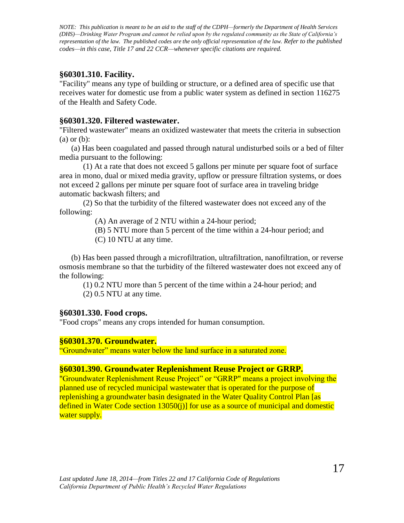### <span id="page-16-0"></span>**§60301.310. Facility.**

"Facility" means any type of building or structure, or a defined area of specific use that receives water for domestic use from a public water system as defined in section 116275 of the Health and Safety Code.

## <span id="page-16-1"></span>**§60301.320. Filtered wastewater.**

"Filtered wastewater" means an oxidized wastewater that meets the criteria in subsection (a) or (b):

(a) Has been coagulated and passed through natural undisturbed soils or a bed of filter media pursuant to the following:

(1) At a rate that does not exceed 5 gallons per minute per square foot of surface area in mono, dual or mixed media gravity, upflow or pressure filtration systems, or does not exceed 2 gallons per minute per square foot of surface area in traveling bridge automatic backwash filters; and

(2) So that the turbidity of the filtered wastewater does not exceed any of the following:

(A) An average of 2 NTU within a 24-hour period;

(B) 5 NTU more than 5 percent of the time within a 24-hour period; and

(C) 10 NTU at any time.

(b) Has been passed through a microfiltration, ultrafiltration, nanofiltration, or reverse osmosis membrane so that the turbidity of the filtered wastewater does not exceed any of the following:

(1) 0.2 NTU more than 5 percent of the time within a 24-hour period; and (2) 0.5 NTU at any time.

## <span id="page-16-2"></span>**§60301.330. Food crops.**

"Food crops" means any crops intended for human consumption.

#### <span id="page-16-3"></span>**§60301.370. Groundwater.**

"Groundwater" means water below the land surface in a saturated zone.

#### <span id="page-16-4"></span>**§60301.390. Groundwater Replenishment Reuse Project or GRRP.**

"Groundwater Replenishment Reuse Project" or "GRRP" means a project involving the planned use of recycled municipal wastewater that is operated for the purpose of replenishing a groundwater basin designated in the Water Quality Control Plan [as defined in Water Code section 13050(j)] for use as a source of municipal and domestic water supply.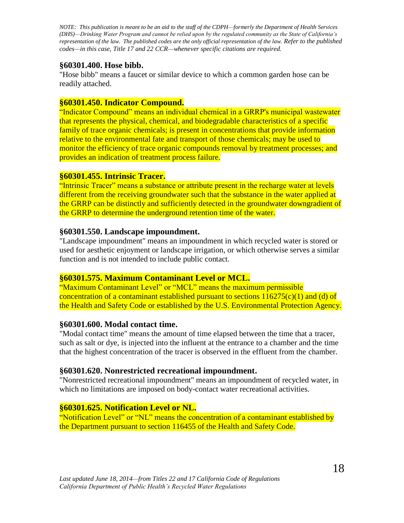#### <span id="page-17-0"></span>**§60301.400. Hose bibb.**

"Hose bibb" means a faucet or similar device to which a common garden hose can be readily attached.

#### <span id="page-17-1"></span>**§60301.450. Indicator Compound.**

"Indicator Compound" means an individual chemical in a GRRP's municipal wastewater that represents the physical, chemical, and biodegradable characteristics of a specific family of trace organic chemicals; is present in concentrations that provide information relative to the environmental fate and transport of those chemicals; may be used to monitor the efficiency of trace organic compounds removal by treatment processes; and provides an indication of treatment process failure.

#### <span id="page-17-2"></span>**§60301.455. Intrinsic Tracer.**

"Intrinsic Tracer" means a substance or attribute present in the recharge water at levels different from the receiving groundwater such that the substance in the water applied at the GRRP can be distinctly and sufficiently detected in the groundwater downgradient of the GRRP to determine the underground retention time of the water.

#### <span id="page-17-3"></span>**§60301.550. Landscape impoundment.**

"Landscape impoundment" means an impoundment in which recycled water is stored or used for aesthetic enjoyment or landscape irrigation, or which otherwise serves a similar function and is not intended to include public contact.

#### <span id="page-17-4"></span>**§60301.575. Maximum Contaminant Level or MCL.**

"Maximum Contaminant Level" or "MCL" means the maximum permissible concentration of a contaminant established pursuant to sections  $116275(c)(1)$  and (d) of the Health and Safety Code or established by the U.S. Environmental Protection Agency.

#### <span id="page-17-5"></span>**§60301.600. Modal contact time.**

"Modal contact time" means the amount of time elapsed between the time that a tracer, such as salt or dye, is injected into the influent at the entrance to a chamber and the time that the highest concentration of the tracer is observed in the effluent from the chamber.

#### <span id="page-17-6"></span>**§60301.620. Nonrestricted recreational impoundment.**

"Nonrestricted recreational impoundment" means an impoundment of recycled water, in which no limitations are imposed on body-contact water recreational activities.

#### <span id="page-17-7"></span>**§60301.625. Notification Level or NL.**

"Notification Level" or "NL" means the concentration of a contaminant established by the Department pursuant to section 116455 of the Health and Safety Code.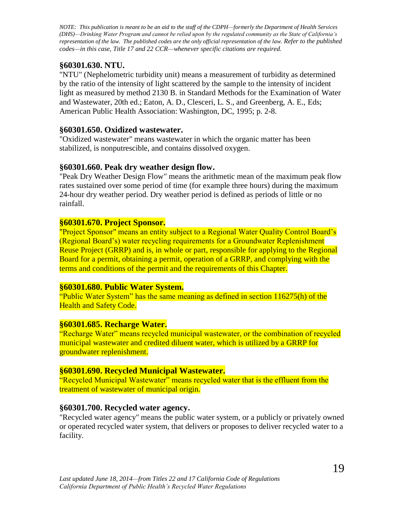## <span id="page-18-0"></span>**§60301.630. NTU.**

"NTU" (Nephelometric turbidity unit) means a measurement of turbidity as determined by the ratio of the intensity of light scattered by the sample to the intensity of incident light as measured by method 2130 B. in Standard Methods for the Examination of Water and Wastewater, 20th ed.; Eaton, A. D., Clesceri, L. S., and Greenberg, A. E., Eds; American Public Health Association: Washington, DC, 1995; p. 2-8.

## <span id="page-18-1"></span>**§60301.650. Oxidized wastewater.**

"Oxidized wastewater" means wastewater in which the organic matter has been stabilized, is nonputrescible, and contains dissolved oxygen.

## <span id="page-18-2"></span>**§60301.660. Peak dry weather design flow.**

"Peak Dry Weather Design Flow" means the arithmetic mean of the maximum peak flow rates sustained over some period of time (for example three hours) during the maximum 24-hour dry weather period. Dry weather period is defined as periods of little or no rainfall.

## <span id="page-18-3"></span>**§60301.670. Project Sponsor.**

"Project Sponsor" means an entity subject to a Regional Water Quality Control Board's (Regional Board's) water recycling requirements for a Groundwater Replenishment Reuse Project (GRRP) and is, in whole or part, responsible for applying to the Regional Board for a permit, obtaining a permit, operation of a GRRP, and complying with the terms and conditions of the permit and the requirements of this Chapter.

## <span id="page-18-4"></span>**§60301.680. Public Water System.**

"Public Water System" has the same meaning as defined in section 116275(h) of the **Health and Safety Code.** 

#### <span id="page-18-5"></span>**§60301.685. Recharge Water.**

"Recharge Water" means recycled municipal wastewater, or the combination of recycled municipal wastewater and credited diluent water, which is utilized by a GRRP for groundwater replenishment.

#### <span id="page-18-6"></span>**§60301.690. Recycled Municipal Wastewater.**

"Recycled Municipal Wastewater" means recycled water that is the effluent from the treatment of wastewater of municipal origin.

## <span id="page-18-7"></span>**§60301.700. Recycled water agency.**

"Recycled water agency" means the public water system, or a publicly or privately owned or operated recycled water system, that delivers or proposes to deliver recycled water to a facility.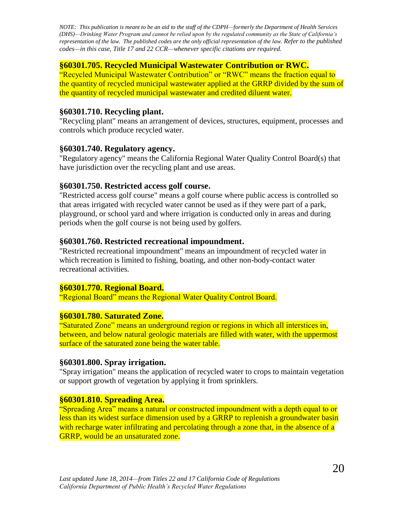#### <span id="page-19-0"></span>**§60301.705. Recycled Municipal Wastewater Contribution or RWC.**

"Recycled Municipal Wastewater Contribution" or "RWC" means the fraction equal to the quantity of recycled municipal wastewater applied at the GRRP divided by the sum of the quantity of recycled municipal wastewater and credited diluent water.

## <span id="page-19-1"></span>**§60301.710. Recycling plant.**

"Recycling plant" means an arrangement of devices, structures, equipment, processes and controls which produce recycled water.

## <span id="page-19-2"></span>**§60301.740. Regulatory agency.**

"Regulatory agency" means the California Regional Water Quality Control Board(s) that have jurisdiction over the recycling plant and use areas.

## <span id="page-19-3"></span>**§60301.750. Restricted access golf course.**

"Restricted access golf course" means a golf course where public access is controlled so that areas irrigated with recycled water cannot be used as if they were part of a park, playground, or school yard and where irrigation is conducted only in areas and during periods when the golf course is not being used by golfers.

## <span id="page-19-4"></span>**§60301.760. Restricted recreational impoundment.**

"Restricted recreational impoundment" means an impoundment of recycled water in which recreation is limited to fishing, boating, and other non-body-contact water recreational activities.

#### <span id="page-19-5"></span>**§60301.770. Regional Board.**

"Regional Board" means the Regional Water Quality Control Board.

#### <span id="page-19-6"></span>**§60301.780. Saturated Zone.**

"Saturated Zone" means an underground region or regions in which all interstices in, between, and below natural geologic materials are filled with water, with the uppermost surface of the saturated zone being the water table.

## <span id="page-19-7"></span>**§60301.800. Spray irrigation.**

"Spray irrigation" means the application of recycled water to crops to maintain vegetation or support growth of vegetation by applying it from sprinklers.

## <span id="page-19-8"></span>**§60301.810. Spreading Area.**

"Spreading Area" means a natural or constructed impoundment with a depth equal to or less than its widest surface dimension used by a GRRP to replenish a groundwater basin with recharge water infiltrating and percolating through a zone that, in the absence of a GRRP, would be an unsaturated zone.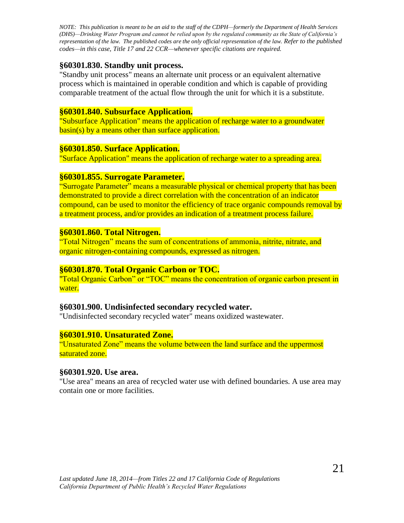### <span id="page-20-0"></span>**§60301.830. Standby unit process.**

"Standby unit process" means an alternate unit process or an equivalent alternative process which is maintained in operable condition and which is capable of providing comparable treatment of the actual flow through the unit for which it is a substitute.

## <span id="page-20-1"></span>**§60301.840. Subsurface Application.**

"Subsurface Application" means the application of recharge water to a groundwater basin(s) by a means other than surface application.

## <span id="page-20-2"></span>**§60301.850. Surface Application.**

"Surface Application" means the application of recharge water to a spreading area.

## <span id="page-20-3"></span>**§60301.855. Surrogate Parameter.**

"Surrogate Parameter" means a measurable physical or chemical property that has been demonstrated to provide a direct correlation with the concentration of an indicator compound, can be used to monitor the efficiency of trace organic compounds removal by a treatment process, and/or provides an indication of a treatment process failure.

## <span id="page-20-4"></span>**§60301.860. Total Nitrogen.**

"Total Nitrogen" means the sum of concentrations of ammonia, nitrite, nitrate, and organic nitrogen-containing compounds, expressed as nitrogen.

## <span id="page-20-5"></span>**§60301.870. Total Organic Carbon or TOC.**

"Total Organic Carbon" or "TOC" means the concentration of organic carbon present in water.

## <span id="page-20-6"></span>**§60301.900. Undisinfected secondary recycled water.**

"Undisinfected secondary recycled water" means oxidized wastewater.

## <span id="page-20-7"></span>**§60301.910. Unsaturated Zone.**

"Unsaturated Zone" means the volume between the land surface and the uppermost saturated zone.

#### <span id="page-20-8"></span>**§60301.920. Use area.**

"Use area" means an area of recycled water use with defined boundaries. A use area may contain one or more facilities.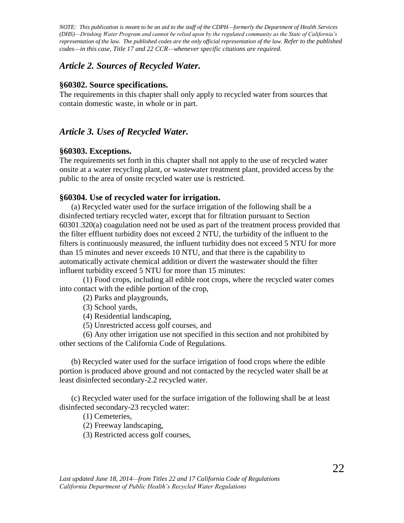# <span id="page-21-0"></span>*Article 2. Sources of Recycled Water.*

## <span id="page-21-1"></span>**§60302. Source specifications.**

The requirements in this chapter shall only apply to recycled water from sources that contain domestic waste, in whole or in part.

# <span id="page-21-2"></span>*Article 3. Uses of Recycled Water.*

## <span id="page-21-3"></span>**§60303. Exceptions.**

The requirements set forth in this chapter shall not apply to the use of recycled water onsite at a water recycling plant, or wastewater treatment plant, provided access by the public to the area of onsite recycled water use is restricted.

## <span id="page-21-4"></span>**§60304. Use of recycled water for irrigation.**

(a) Recycled water used for the surface irrigation of the following shall be a disinfected tertiary recycled water, except that for filtration pursuant to Section 60301.320(a) coagulation need not be used as part of the treatment process provided that the filter effluent turbidity does not exceed 2 NTU, the turbidity of the influent to the filters is continuously measured, the influent turbidity does not exceed 5 NTU for more than 15 minutes and never exceeds 10 NTU, and that there is the capability to automatically activate chemical addition or divert the wastewater should the filter influent turbidity exceed 5 NTU for more than 15 minutes:

(1) Food crops, including all edible root crops, where the recycled water comes into contact with the edible portion of the crop,

(2) Parks and playgrounds,

(3) School yards,

(4) Residential landscaping,

(5) Unrestricted access golf courses, and

(6) Any other irrigation use not specified in this section and not prohibited by other sections of the California Code of Regulations.

(b) Recycled water used for the surface irrigation of food crops where the edible portion is produced above ground and not contacted by the recycled water shall be at least disinfected secondary-2.2 recycled water.

(c) Recycled water used for the surface irrigation of the following shall be at least disinfected secondary-23 recycled water:

(1) Cemeteries,

(2) Freeway landscaping,

(3) Restricted access golf courses,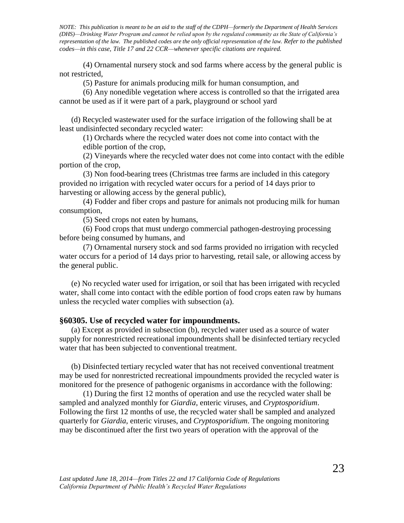(4) Ornamental nursery stock and sod farms where access by the general public is not restricted,

(5) Pasture for animals producing milk for human consumption, and

(6) Any nonedible vegetation where access is controlled so that the irrigated area cannot be used as if it were part of a park, playground or school yard

(d) Recycled wastewater used for the surface irrigation of the following shall be at least undisinfected secondary recycled water:

(1) Orchards where the recycled water does not come into contact with the edible portion of the crop,

(2) Vineyards where the recycled water does not come into contact with the edible portion of the crop,

(3) Non food-bearing trees (Christmas tree farms are included in this category provided no irrigation with recycled water occurs for a period of 14 days prior to harvesting or allowing access by the general public),

(4) Fodder and fiber crops and pasture for animals not producing milk for human consumption,

(5) Seed crops not eaten by humans,

(6) Food crops that must undergo commercial pathogen-destroying processing before being consumed by humans, and

(7) Ornamental nursery stock and sod farms provided no irrigation with recycled water occurs for a period of 14 days prior to harvesting, retail sale, or allowing access by the general public.

(e) No recycled water used for irrigation, or soil that has been irrigated with recycled water, shall come into contact with the edible portion of food crops eaten raw by humans unless the recycled water complies with subsection (a).

#### <span id="page-22-0"></span>**§60305. Use of recycled water for impoundments.**

(a) Except as provided in subsection (b), recycled water used as a source of water supply for nonrestricted recreational impoundments shall be disinfected tertiary recycled water that has been subjected to conventional treatment.

(b) Disinfected tertiary recycled water that has not received conventional treatment may be used for nonrestricted recreational impoundments provided the recycled water is monitored for the presence of pathogenic organisms in accordance with the following:

(1) During the first 12 months of operation and use the recycled water shall be sampled and analyzed monthly for *Giardia*, enteric viruses, and *Cryptosporidium*. Following the first 12 months of use, the recycled water shall be sampled and analyzed quarterly for *Giardia*, enteric viruses, and *Cryptosporidium*. The ongoing monitoring may be discontinued after the first two years of operation with the approval of the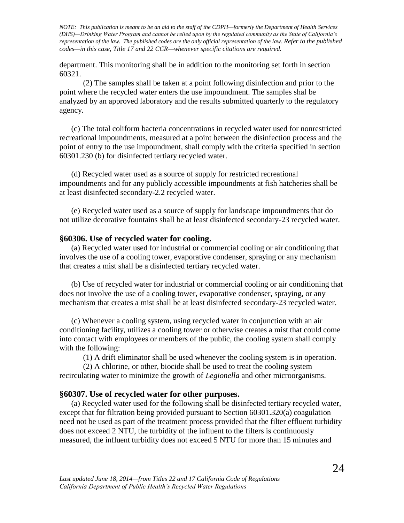department. This monitoring shall be in addition to the monitoring set forth in section 60321.

(2) The samples shall be taken at a point following disinfection and prior to the point where the recycled water enters the use impoundment. The samples shal be analyzed by an approved laboratory and the results submitted quarterly to the regulatory agency.

(c) The total coliform bacteria concentrations in recycled water used for nonrestricted recreational impoundments, measured at a point between the disinfection process and the point of entry to the use impoundment, shall comply with the criteria specified in section 60301.230 (b) for disinfected tertiary recycled water.

(d) Recycled water used as a source of supply for restricted recreational impoundments and for any publicly accessible impoundments at fish hatcheries shall be at least disinfected secondary-2.2 recycled water.

(e) Recycled water used as a source of supply for landscape impoundments that do not utilize decorative fountains shall be at least disinfected secondary-23 recycled water.

#### <span id="page-23-0"></span>**§60306. Use of recycled water for cooling.**

(a) Recycled water used for industrial or commercial cooling or air conditioning that involves the use of a cooling tower, evaporative condenser, spraying or any mechanism that creates a mist shall be a disinfected tertiary recycled water.

(b) Use of recycled water for industrial or commercial cooling or air conditioning that does not involve the use of a cooling tower, evaporative condenser, spraying, or any mechanism that creates a mist shall be at least disinfected secondary-23 recycled water.

(c) Whenever a cooling system, using recycled water in conjunction with an air conditioning facility, utilizes a cooling tower or otherwise creates a mist that could come into contact with employees or members of the public, the cooling system shall comply with the following:

(1) A drift eliminator shall be used whenever the cooling system is in operation.

(2) A chlorine, or other, biocide shall be used to treat the cooling system recirculating water to minimize the growth of *Legionella* and other microorganisms.

#### <span id="page-23-1"></span>**§60307. Use of recycled water for other purposes.**

(a) Recycled water used for the following shall be disinfected tertiary recycled water, except that for filtration being provided pursuant to Section 60301.320(a) coagulation need not be used as part of the treatment process provided that the filter effluent turbidity does not exceed 2 NTU, the turbidity of the influent to the filters is continuously measured, the influent turbidity does not exceed 5 NTU for more than 15 minutes and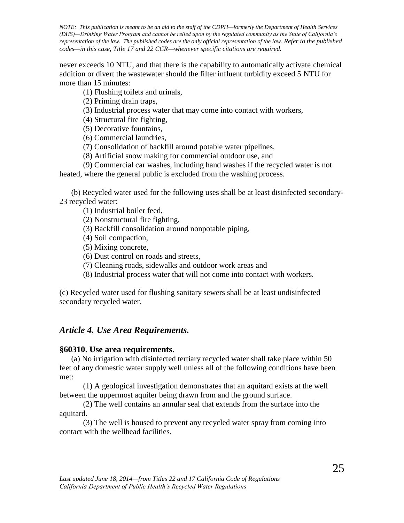never exceeds 10 NTU, and that there is the capability to automatically activate chemical addition or divert the wastewater should the filter influent turbidity exceed 5 NTU for more than 15 minutes:

- (1) Flushing toilets and urinals,
- (2) Priming drain traps,
- (3) Industrial process water that may come into contact with workers,
- (4) Structural fire fighting,
- (5) Decorative fountains,
- (6) Commercial laundries,
- (7) Consolidation of backfill around potable water pipelines,
- (8) Artificial snow making for commercial outdoor use, and
- (9) Commercial car washes, including hand washes if the recycled water is not heated, where the general public is excluded from the washing process.

(b) Recycled water used for the following uses shall be at least disinfected secondary-23 recycled water:

- (1) Industrial boiler feed,
- (2) Nonstructural fire fighting,
- (3) Backfill consolidation around nonpotable piping,
- (4) Soil compaction,
- (5) Mixing concrete,
- (6) Dust control on roads and streets,
- (7) Cleaning roads, sidewalks and outdoor work areas and
- (8) Industrial process water that will not come into contact with workers.

(c) Recycled water used for flushing sanitary sewers shall be at least undisinfected secondary recycled water.

# <span id="page-24-0"></span>*Article 4. Use Area Requirements.*

## <span id="page-24-1"></span>**§60310. Use area requirements.**

(a) No irrigation with disinfected tertiary recycled water shall take place within 50 feet of any domestic water supply well unless all of the following conditions have been met:

(1) A geological investigation demonstrates that an aquitard exists at the well between the uppermost aquifer being drawn from and the ground surface.

(2) The well contains an annular seal that extends from the surface into the aquitard.

(3) The well is housed to prevent any recycled water spray from coming into contact with the wellhead facilities.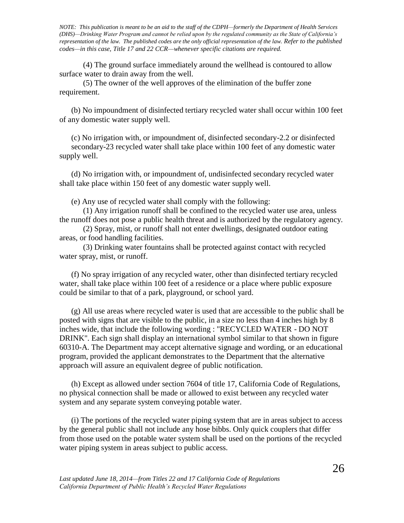(4) The ground surface immediately around the wellhead is contoured to allow surface water to drain away from the well.

(5) The owner of the well approves of the elimination of the buffer zone requirement.

(b) No impoundment of disinfected tertiary recycled water shall occur within 100 feet of any domestic water supply well.

(c) No irrigation with, or impoundment of, disinfected secondary-2.2 or disinfected secondary-23 recycled water shall take place within 100 feet of any domestic water supply well.

(d) No irrigation with, or impoundment of, undisinfected secondary recycled water shall take place within 150 feet of any domestic water supply well.

(e) Any use of recycled water shall comply with the following:

(1) Any irrigation runoff shall be confined to the recycled water use area, unless the runoff does not pose a public health threat and is authorized by the regulatory agency.

(2) Spray, mist, or runoff shall not enter dwellings, designated outdoor eating areas, or food handling facilities.

(3) Drinking water fountains shall be protected against contact with recycled water spray, mist, or runoff.

(f) No spray irrigation of any recycled water, other than disinfected tertiary recycled water, shall take place within 100 feet of a residence or a place where public exposure could be similar to that of a park, playground, or school yard.

(g) All use areas where recycled water is used that are accessible to the public shall be posted with signs that are visible to the public, in a size no less than 4 inches high by 8 inches wide, that include the following wording : "RECYCLED WATER - DO NOT DRINK". Each sign shall display an international symbol similar to that shown in figure 60310-A. The Department may accept alternative signage and wording, or an educational program, provided the applicant demonstrates to the Department that the alternative approach will assure an equivalent degree of public notification.

(h) Except as allowed under section 7604 of title 17, California Code of Regulations, no physical connection shall be made or allowed to exist between any recycled water system and any separate system conveying potable water.

(i) The portions of the recycled water piping system that are in areas subject to access by the general public shall not include any hose bibbs. Only quick couplers that differ from those used on the potable water system shall be used on the portions of the recycled water piping system in areas subject to public access.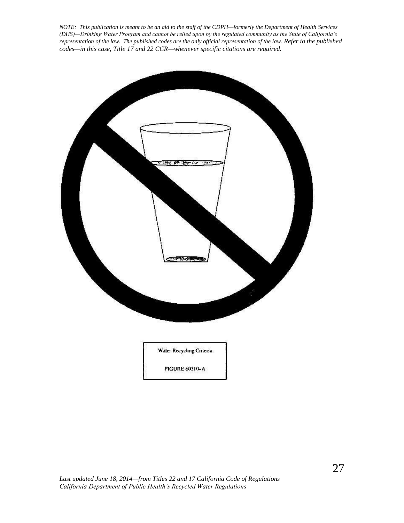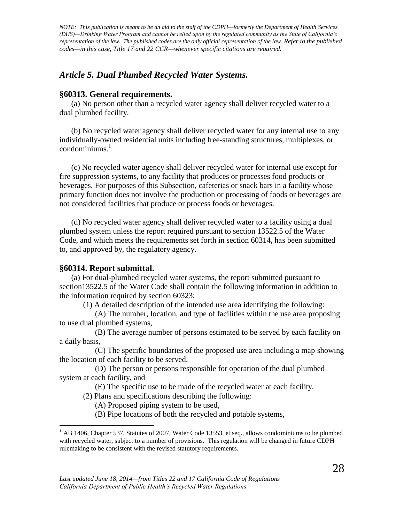## <span id="page-27-0"></span>*Article 5. Dual Plumbed Recycled Water Systems.*

#### <span id="page-27-1"></span>**§60313. General requirements.**

(a) No person other than a recycled water agency shall deliver recycled water to a dual plumbed facility.

(b) No recycled water agency shall deliver recycled water for any internal use to any individually-owned residential units including free-standing structures, multiplexes, or  $\arccos 1$ 

(c) No recycled water agency shall deliver recycled water for internal use except for fire suppression systems, to any facility that produces or processes food products or beverages. For purposes of this Subsection, cafeterias or snack bars in a facility whose primary function does not involve the production or processing of foods or beverages are not considered facilities that produce or process foods or beverages.

(d) No recycled water agency shall deliver recycled water to a facility using a dual plumbed system unless the report required pursuant to section 13522.5 of the Water Code, and which meets the requirements set forth in section 60314, has been submitted to, and approved by, the regulatory agency.

#### <span id="page-27-2"></span>**§60314. Report submittal.**

(a) For dual-plumbed recycled water systems, **t**he report submitted pursuant to section13522.5 of the Water Code shall contain the following information in addition to the information required by section 60323:

(1) A detailed description of the intended use area identifying the following:

(A) The number, location, and type of facilities within the use area proposing to use dual plumbed systems,

(B) The average number of persons estimated to be served by each facility on a daily basis,

(C) The specific boundaries of the proposed use area including a map showing the location of each facility to be served,

(D) The person or persons responsible for operation of the dual plumbed system at each facility, and

(E) The specific use to be made of the recycled water at each facility.

(2) Plans and specifications describing the following:

(A) Proposed piping system to be used,

(B) Pipe locations of both the recycled and potable systems,

 $\overline{a}$  $<sup>1</sup>$  AB 1406, Chapter 537, Statutes of 2007, Water Code 13553, et seq., allows condominiums to be plumbed</sup> with recycled water, subject to a number of provisions. This regulation will be changed in future CDPH rulemaking to be consistent with the revised statutory requirements.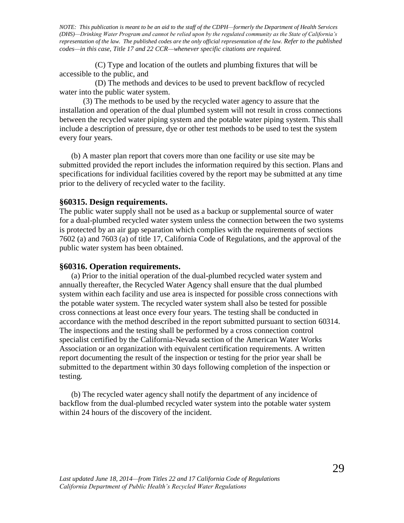(C) Type and location of the outlets and plumbing fixtures that will be accessible to the public, and

(D) The methods and devices to be used to prevent backflow of recycled water into the public water system.

(3) The methods to be used by the recycled water agency to assure that the installation and operation of the dual plumbed system will not result in cross connections between the recycled water piping system and the potable water piping system. This shall include a description of pressure, dye or other test methods to be used to test the system every four years.

(b) A master plan report that covers more than one facility or use site may be submitted provided the report includes the information required by this section. Plans and specifications for individual facilities covered by the report may be submitted at any time prior to the delivery of recycled water to the facility.

#### <span id="page-28-0"></span>**§60315. Design requirements.**

The public water supply shall not be used as a backup or supplemental source of water for a dual-plumbed recycled water system unless the connection between the two systems is protected by an air gap separation which complies with the requirements of sections 7602 (a) and 7603 (a) of title 17, California Code of Regulations, and the approval of the public water system has been obtained.

#### <span id="page-28-1"></span>**§60316. Operation requirements.**

(a) Prior to the initial operation of the dual-plumbed recycled water system and annually thereafter, the Recycled Water Agency shall ensure that the dual plumbed system within each facility and use area is inspected for possible cross connections with the potable water system. The recycled water system shall also be tested for possible cross connections at least once every four years. The testing shall be conducted in accordance with the method described in the report submitted pursuant to section 60314. The inspections and the testing shall be performed by a cross connection control specialist certified by the California-Nevada section of the American Water Works Association or an organization with equivalent certification requirements. A written report documenting the result of the inspection or testing for the prior year shall be submitted to the department within 30 days following completion of the inspection or testing.

(b) The recycled water agency shall notify the department of any incidence of backflow from the dual-plumbed recycled water system into the potable water system within 24 hours of the discovery of the incident.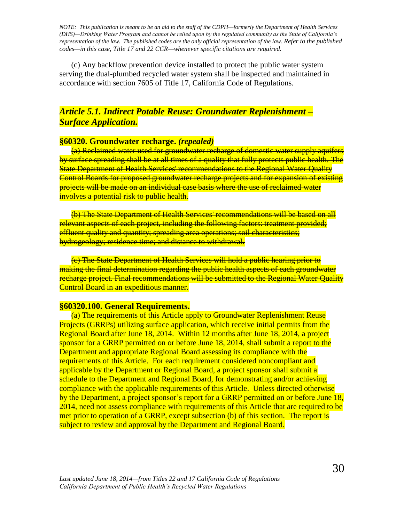(c) Any backflow prevention device installed to protect the public water system serving the dual-plumbed recycled water system shall be inspected and maintained in accordance with section 7605 of Title 17, California Code of Regulations.

# <span id="page-29-0"></span>*Article 5.1. Indirect Potable Reuse: Groundwater Replenishment – Surface Application.*

#### <span id="page-29-1"></span>**§60320. Groundwater recharge.** *(repealed)*

(a) Reclaimed water used for groundwater recharge of domestic water supply aquifers by surface spreading shall be at all times of a quality that fully protects public health. The State Department of Health Services' recommendations to the Regional Water Quality Control Boards for proposed groundwater recharge projects and for expansion of existing projects will be made on an individual case basis where the use of reclaimed water involves a potential risk to public health.

(b) The State Department of Health Services' recommendations will be based on all relevant aspects of each project, including the following factors: treatment provided; effluent quality and quantity; spreading area operations; soil characteristics; hydrogeology; residence time; and distance to withdrawal.

(c) The State Department of Health Services will hold a public hearing prior to making the final determination regarding the public health aspects of each groundwater recharge project. Final recommendations will be submitted to the Regional Water Quality Control Board in an expeditious manner.

#### <span id="page-29-2"></span>**§60320.100. General Requirements.**

(a) The requirements of this Article apply to Groundwater Replenishment Reuse Projects (GRRPs) utilizing surface application, which receive initial permits from the Regional Board after June 18, 2014. Within 12 months after June 18, 2014, a project sponsor for a GRRP permitted on or before June 18, 2014, shall submit a report to the Department and appropriate Regional Board assessing its compliance with the requirements of this Article. For each requirement considered noncompliant and applicable by the Department or Regional Board, a project sponsor shall submit a schedule to the Department and Regional Board, for demonstrating and/or achieving compliance with the applicable requirements of this Article. Unless directed otherwise by the Department, a project sponsor's report for a GRRP permitted on or before June 18, 2014, need not assess compliance with requirements of this Article that are required to be met prior to operation of a GRRP, except subsection (b) of this section. The report is subject to review and approval by the Department and Regional Board.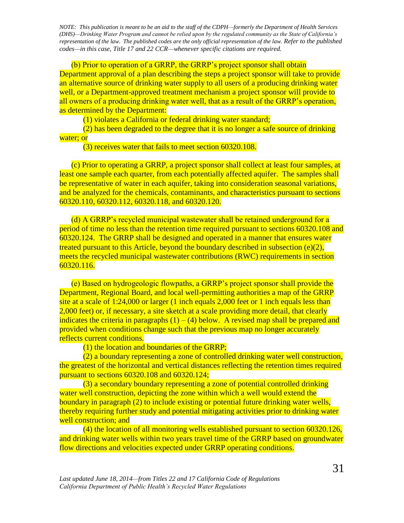(b) Prior to operation of a GRRP, the GRRP's project sponsor shall obtain Department approval of a plan describing the steps a project sponsor will take to provide an alternative source of drinking water supply to all users of a producing drinking water well, or a Department-approved treatment mechanism a project sponsor will provide to all owners of a producing drinking water well, that as a result of the GRRP's operation, as determined by the Department:

(1) violates a California or federal drinking water standard;

(2) has been degraded to the degree that it is no longer a safe source of drinking water; or

(3) receives water that fails to meet section 60320.108.

(c) Prior to operating a GRRP, a project sponsor shall collect at least four samples, at least one sample each quarter, from each potentially affected aquifer. The samples shall be representative of water in each aquifer, taking into consideration seasonal variations, and be analyzed for the chemicals, contaminants, and characteristics pursuant to sections 60320.110, 60320.112, 60320.118, and 60320.120.

(d) A GRRP's recycled municipal wastewater shall be retained underground for a period of time no less than the retention time required pursuant to sections 60320.108 and 60320.124. The GRRP shall be designed and operated in a manner that ensures water treated pursuant to this Article, beyond the boundary described in subsection  $(e)(2)$ , meets the recycled municipal wastewater contributions (RWC) requirements in section 60320.116.

(e) Based on hydrogeologic flowpaths, a GRRP's project sponsor shall provide the Department, Regional Board, and local well-permitting authorities a map of the GRRP site at a scale of 1:24,000 or larger (1 inch equals 2,000 feet or 1 inch equals less than 2,000 feet) or, if necessary, a site sketch at a scale providing more detail, that clearly indicates the criteria in paragraphs  $(1) - (4)$  below. A revised map shall be prepared and provided when conditions change such that the previous map no longer accurately reflects current conditions.

(1) the location and boundaries of the GRRP;

(2) a boundary representing a zone of controlled drinking water well construction, the greatest of the horizontal and vertical distances reflecting the retention times required pursuant to sections 60320.108 and 60320.124;

(3) a secondary boundary representing a zone of potential controlled drinking water well construction, depicting the zone within which a well would extend the boundary in paragraph (2) to include existing or potential future drinking water wells, thereby requiring further study and potential mitigating activities prior to drinking water well construction; and

 $(4)$  the location of all monitoring wells established pursuant to section 60320.126, and drinking water wells within two years travel time of the GRRP based on groundwater flow directions and velocities expected under GRRP operating conditions.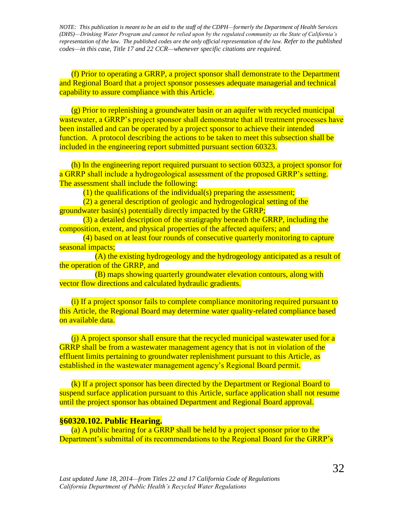(f) Prior to operating a GRRP, a project sponsor shall demonstrate to the Department and Regional Board that a project sponsor possesses adequate managerial and technical capability to assure compliance with this Article.

(g) Prior to replenishing a groundwater basin or an aquifer with recycled municipal wastewater, a GRRP's project sponsor shall demonstrate that all treatment processes have been installed and can be operated by a project sponsor to achieve their intended function. A protocol describing the actions to be taken to meet this subsection shall be included in the engineering report submitted pursuant section 60323.

(h) In the engineering report required pursuant to section 60323, a project sponsor for a GRRP shall include a hydrogeological assessment of the proposed GRRP's setting. The assessment shall include the following:

(1) the qualifications of the individual(s) preparing the assessment;

(2) a general description of geologic and hydrogeological setting of the groundwater basin(s) potentially directly impacted by the GRRP;

(3) a detailed description of the stratigraphy beneath the GRRP, including the composition, extent, and physical properties of the affected aquifers; and

(4) based on at least four rounds of consecutive quarterly monitoring to capture seasonal impacts;

(A) the existing hydrogeology and the hydrogeology anticipated as a result of the operation of the GRRP, and

(B) maps showing quarterly groundwater elevation contours, along with vector flow directions and calculated hydraulic gradients.

(i) If a project sponsor fails to complete compliance monitoring required pursuant to this Article, the Regional Board may determine water quality-related compliance based on available data.

(j) A project sponsor shall ensure that the recycled municipal wastewater used for a GRRP shall be from a wastewater management agency that is not in violation of the effluent limits pertaining to groundwater replenishment pursuant to this Article, as established in the wastewater management agency's Regional Board permit.

(k) If a project sponsor has been directed by the Department or Regional Board to suspend surface application pursuant to this Article, surface application shall not resume until the project sponsor has obtained Department and Regional Board approval.

#### <span id="page-31-0"></span>**§60320.102. Public Hearing.**

(a) A public hearing for a GRRP shall be held by a project sponsor prior to the Department's submittal of its recommendations to the Regional Board for the GRRP's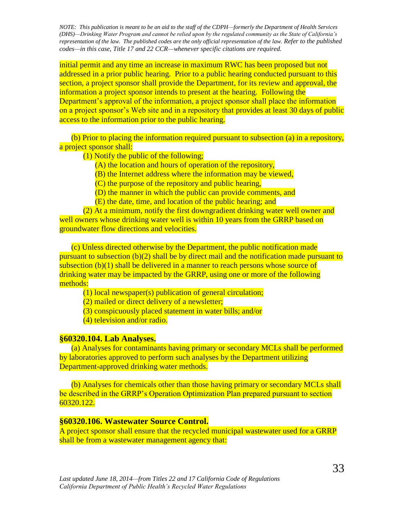initial permit and any time an increase in maximum RWC has been proposed but not addressed in a prior public hearing. Prior to a public hearing conducted pursuant to this section, a project sponsor shall provide the Department, for its review and approval, the information a project sponsor intends to present at the hearing. Following the Department's approval of the information, a project sponsor shall place the information on a project sponsor's Web site and in a repository that provides at least 30 days of public access to the information prior to the public hearing.

(b) Prior to placing the information required pursuant to subsection (a) in a repository, a project sponsor shall:

(1) Notify the public of the following;

(A) the location and hours of operation of the repository,

(B) the Internet address where the information may be viewed,

(C) the purpose of the repository and public hearing,

(D) the manner in which the public can provide comments, and

(E) the date, time, and location of the public hearing; and

(2) At a minimum, notify the first downgradient drinking water well owner and well owners whose drinking water well is within 10 years from the GRRP based on groundwater flow directions and velocities.

(c) Unless directed otherwise by the Department, the public notification made pursuant to subsection (b)(2) shall be by direct mail and the notification made pursuant to subsection (b)(1) shall be delivered in a manner to reach persons whose source of drinking water may be impacted by the GRRP, using one or more of the following methods:

(1) local newspaper(s) publication of general circulation;

(2) mailed or direct delivery of a newsletter;

(3) conspicuously placed statement in water bills; and/or

(4) television and/or radio.

#### <span id="page-32-0"></span>**§60320.104. Lab Analyses.**

(a) Analyses for contaminants having primary or secondary MCLs shall be performed by laboratories approved to perform such analyses by the Department utilizing Department-approved drinking water methods.

(b) Analyses for chemicals other than those having primary or secondary MCLs shall be described in the GRRP's Operation Optimization Plan prepared pursuant to section 60320.122.

#### <span id="page-32-1"></span>**§60320.106. Wastewater Source Control.**

A project sponsor shall ensure that the recycled municipal wastewater used for a GRRP shall be from a wastewater management agency that: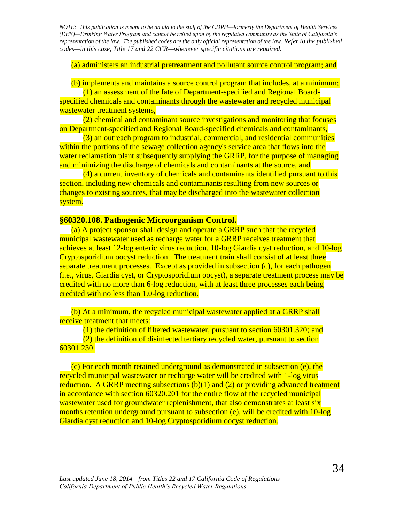#### (a) administers an industrial pretreatment and pollutant source control program; and

(b) implements and maintains a source control program that includes, at a minimum;

(1) an assessment of the fate of Department-specified and Regional Boardspecified chemicals and contaminants through the wastewater and recycled municipal wastewater treatment systems,

(2) chemical and contaminant source investigations and monitoring that focuses on Department-specified and Regional Board-specified chemicals and contaminants,

(3) an outreach program to industrial, commercial, and residential communities within the portions of the sewage collection agency's service area that flows into the water reclamation plant subsequently supplying the GRRP, for the purpose of managing and minimizing the discharge of chemicals and contaminants at the source, and

(4) a current inventory of chemicals and contaminants identified pursuant to this section, including new chemicals and contaminants resulting from new sources or changes to existing sources, that may be discharged into the wastewater collection system.

#### <span id="page-33-0"></span>**§60320.108. Pathogenic Microorganism Control.**

(a) A project sponsor shall design and operate a GRRP such that the recycled municipal wastewater used as recharge water for a GRRP receives treatment that achieves at least 12-log enteric virus reduction, 10-log Giardia cyst reduction, and 10-log Cryptosporidium oocyst reduction. The treatment train shall consist of at least three separate treatment processes. Except as provided in subsection (c), for each pathogen (i.e., virus, Giardia cyst, or Cryptosporidium oocyst), a separate treatment process may be credited with no more than 6-log reduction, with at least three processes each being credited with no less than 1.0-log reduction.

(b) At a minimum, the recycled municipal wastewater applied at a GRRP shall receive treatment that meets:

(1) the definition of filtered wastewater, pursuant to section 60301.320; and

(2) the definition of disinfected tertiary recycled water, pursuant to section 60301.230.

(c) For each month retained underground as demonstrated in subsection (e), the recycled municipal wastewater or recharge water will be credited with 1-log virus reduction. A GRRP meeting subsections  $(b)(1)$  and  $(2)$  or providing advanced treatment in accordance with section 60320.201 for the entire flow of the recycled municipal wastewater used for groundwater replenishment, that also demonstrates at least six months retention underground pursuant to subsection (e), will be credited with 10-log Giardia cyst reduction and 10-log Cryptosporidium oocyst reduction.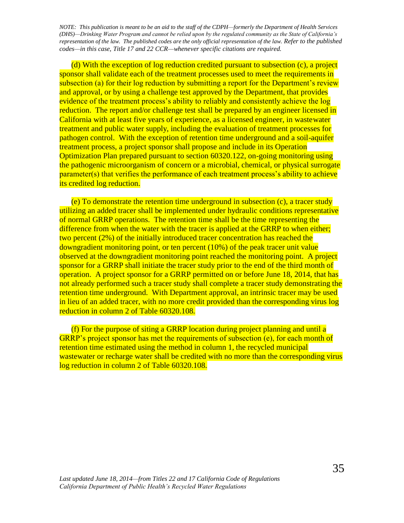(d) With the exception of log reduction credited pursuant to subsection (c), a project sponsor shall validate each of the treatment processes used to meet the requirements in subsection (a) for their log reduction by submitting a report for the Department's review and approval, or by using a challenge test approved by the Department, that provides evidence of the treatment process's ability to reliably and consistently achieve the log reduction. The report and/or challenge test shall be prepared by an engineer licensed in California with at least five years of experience, as a licensed engineer, in wastewater treatment and public water supply, including the evaluation of treatment processes for pathogen control. With the exception of retention time underground and a soil-aquifer treatment process, a project sponsor shall propose and include in its Operation Optimization Plan prepared pursuant to section 60320.122, on-going monitoring using the pathogenic microorganism of concern or a microbial, chemical, or physical surrogate parameter(s) that verifies the performance of each treatment process's ability to achieve its credited log reduction.

(e) To demonstrate the retention time underground in subsection (c), a tracer study utilizing an added tracer shall be implemented under hydraulic conditions representative of normal GRRP operations. The retention time shall be the time representing the difference from when the water with the tracer is applied at the GRRP to when either; two percent (2%) of the initially introduced tracer concentration has reached the downgradient monitoring point, or ten percent (10%) of the peak tracer unit value observed at the downgradient monitoring point reached the monitoring point. A project sponsor for a GRRP shall initiate the tracer study prior to the end of the third month of operation. A project sponsor for a GRRP permitted on or before June 18, 2014, that has not already performed such a tracer study shall complete a tracer study demonstrating the retention time underground. With Department approval, an intrinsic tracer may be used in lieu of an added tracer, with no more credit provided than the corresponding virus log reduction in column 2 of Table 60320.108.

(f) For the purpose of siting a GRRP location during project planning and until a GRRP's project sponsor has met the requirements of subsection (e), for each month of retention time estimated using the method in column 1, the recycled municipal wastewater or recharge water shall be credited with no more than the corresponding virus log reduction in column 2 of Table 60320.108.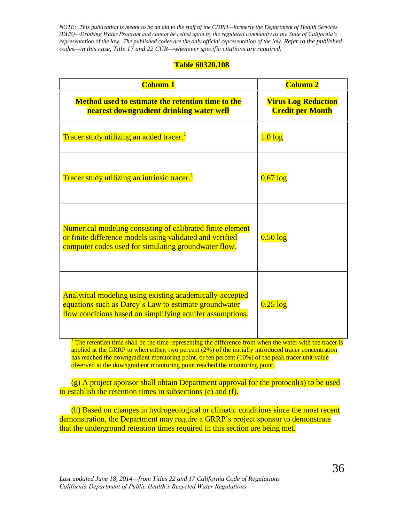#### **Table 60320.108**

| <b>Column 1</b>                                                                                                                                                                                                    | <b>Column 2</b>                                       |
|--------------------------------------------------------------------------------------------------------------------------------------------------------------------------------------------------------------------|-------------------------------------------------------|
| Method used to estimate the retention time to the<br>nearest downgradient drinking water well                                                                                                                      | <b>Virus Log Reduction</b><br><b>Credit per Month</b> |
| <b>Tracer study utilizing an added tracer.</b>                                                                                                                                                                     | $1.0 \log$                                            |
| Tracer study utilizing an intrinsic tracer. <sup>1</sup>                                                                                                                                                           | $0.67 \log$                                           |
| Numerical modeling consisting of calibrated finite element<br>or finite difference models using validated and verified<br>computer codes used for simulating groundwater flow.                                     | $0.50 \log$                                           |
| Analytical modeling using existing academically-accepted<br>equations such as Darcy's Law to estimate groundwater<br>flow conditions based on simplifying aquifer assumptions.                                     | $0.25 \log$                                           |
| The retention time shall be the time representing the difference from when the water with the tracer is<br>applied at the GRRP to when either; two percent $(2%)$ of the initially introduced tracer concentration |                                                       |

has reached the downgradient monitoring point, or ten percent (10%) of the peak tracer unit value observed at the downgradient monitoring point reached the monitoring point.

 $(g)$  A project sponsor shall obtain Department approval for the protocol(s) to be used to establish the retention times in subsections (e) and (f).

(h) Based on changes in hydrogeological or climatic conditions since the most recent demonstration, the Department may require a GRRP's project sponsor to demonstrate that the underground retention times required in this section are being met.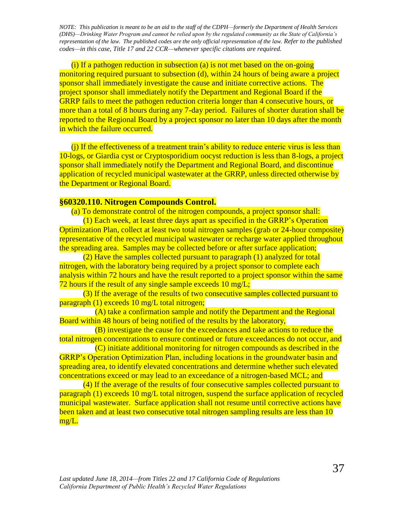(i) If a pathogen reduction in subsection (a) is not met based on the on-going monitoring required pursuant to subsection (d), within 24 hours of being aware a project sponsor shall immediately investigate the cause and initiate corrective actions. The project sponsor shall immediately notify the Department and Regional Board if the GRRP fails to meet the pathogen reduction criteria longer than 4 consecutive hours, or more than a total of 8 hours during any 7-day period. Failures of shorter duration shall be reported to the Regional Board by a project sponsor no later than 10 days after the month in which the failure occurred.

(j) If the effectiveness of a treatment train's ability to reduce enteric virus is less than 10-logs, or Giardia cyst or Cryptosporidium oocyst reduction is less than 8-logs, a project sponsor shall immediately notify the Department and Regional Board, and discontinue application of recycled municipal wastewater at the GRRP, unless directed otherwise by the Department or Regional Board.

## **§60320.110. Nitrogen Compounds Control.**

(a) To demonstrate control of the nitrogen compounds, a project sponsor shall:

(1) Each week, at least three days apart as specified in the GRRP's Operation Optimization Plan, collect at least two total nitrogen samples (grab or 24-hour composite) representative of the recycled municipal wastewater or recharge water applied throughout the spreading area. Samples may be collected before or after surface application;

(2) Have the samples collected pursuant to paragraph (1) analyzed for total nitrogen, with the laboratory being required by a project sponsor to complete each analysis within 72 hours and have the result reported to a project sponsor within the same 72 hours if the result of any single sample exceeds  $10 \text{ mg/L}$ ;

(3) If the average of the results of two consecutive samples collected pursuant to paragraph (1) exceeds 10 mg/L total nitrogen;

(A) take a confirmation sample and notify the Department and the Regional Board within 48 hours of being notified of the results by the laboratory,

(B) investigate the cause for the exceedances and take actions to reduce the total nitrogen concentrations to ensure continued or future exceedances do not occur, and

(C) initiate additional monitoring for nitrogen compounds as described in the GRRP's Operation Optimization Plan, including locations in the groundwater basin and spreading area, to identify elevated concentrations and determine whether such elevated concentrations exceed or may lead to an exceedance of a nitrogen-based MCL; and

(4) If the average of the results of four consecutive samples collected pursuant to paragraph (1) exceeds 10 mg/L total nitrogen, suspend the surface application of recycled municipal wastewater. Surface application shall not resume until corrective actions have been taken and at least two consecutive total nitrogen sampling results are less than 10 mg/L.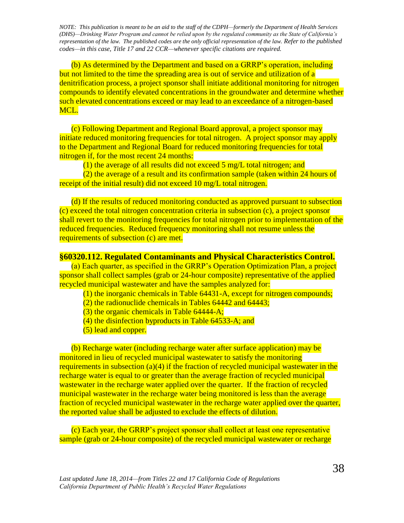(b) As determined by the Department and based on a GRRP's operation, including but not limited to the time the spreading area is out of service and utilization of a denitrification process, a project sponsor shall initiate additional monitoring for nitrogen compounds to identify elevated concentrations in the groundwater and determine whether such elevated concentrations exceed or may lead to an exceedance of a nitrogen-based MCL.

(c) Following Department and Regional Board approval, a project sponsor may initiate reduced monitoring frequencies for total nitrogen. A project sponsor may apply to the Department and Regional Board for reduced monitoring frequencies for total nitrogen if, for the most recent 24 months:

(1) the average of all results did not exceed  $5 \text{ mg/L}$  total nitrogen; and

(2) the average of a result and its confirmation sample (taken within 24 hours of receipt of the initial result) did not exceed 10 mg/L total nitrogen.

(d) If the results of reduced monitoring conducted as approved pursuant to subsection (c) exceed the total nitrogen concentration criteria in subsection (c), a project sponsor shall revert to the monitoring frequencies for total nitrogen prior to implementation of the reduced frequencies. Reduced frequency monitoring shall not resume unless the requirements of subsection (c) are met.

#### **§60320.112. Regulated Contaminants and Physical Characteristics Control.**

(a) Each quarter, as specified in the GRRP's Operation Optimization Plan, a project sponsor shall collect samples (grab or 24-hour composite) representative of the applied recycled municipal wastewater and have the samples analyzed for:

- (1) the inorganic chemicals in Table 64431-A, except for nitrogen compounds;
- (2) the radionuclide chemicals in Tables 64442 and 64443;
- (3) the organic chemicals in Table 64444-A;
- (4) the disinfection byproducts in Table 64533-A; and
- (5) lead and copper.

(b) Recharge water (including recharge water after surface application) may be monitored in lieu of recycled municipal wastewater to satisfy the monitoring requirements in subsection (a)(4) if the fraction of recycled municipal wastewater in the recharge water is equal to or greater than the average fraction of recycled municipal wastewater in the recharge water applied over the quarter. If the fraction of recycled municipal wastewater in the recharge water being monitored is less than the average fraction of recycled municipal wastewater in the recharge water applied over the quarter, the reported value shall be adjusted to exclude the effects of dilution.

(c) Each year, the GRRP's project sponsor shall collect at least one representative sample (grab or 24-hour composite) of the recycled municipal wastewater or recharge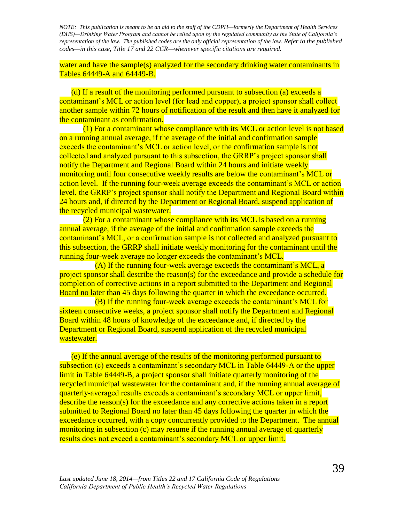water and have the sample(s) analyzed for the secondary drinking water contaminants in Tables 64449-A and 64449-B.

(d) If a result of the monitoring performed pursuant to subsection (a) exceeds a contaminant's MCL or action level (for lead and copper), a project sponsor shall collect another sample within 72 hours of notification of the result and then have it analyzed for the contaminant as confirmation.

(1) For a contaminant whose compliance with its MCL or action level is not based on a running annual average, if the average of the initial and confirmation sample exceeds the contaminant's MCL or action level, or the confirmation sample is not collected and analyzed pursuant to this subsection, the GRRP's project sponsor shall notify the Department and Regional Board within 24 hours and initiate weekly monitoring until four consecutive weekly results are below the contaminant's MCL or action level. If the running four-week average exceeds the contaminant's MCL or action level, the GRRP's project sponsor shall notify the Department and Regional Board within 24 hours and, if directed by the Department or Regional Board, suspend application of the recycled municipal wastewater.

(2) For a contaminant whose compliance with its MCL is based on a running annual average, if the average of the initial and confirmation sample exceeds the contaminant's MCL, or a confirmation sample is not collected and analyzed pursuant to this subsection, the GRRP shall initiate weekly monitoring for the contaminant until the running four-week average no longer exceeds the contaminant's MCL.

(A) If the running four-week average exceeds the contaminant's MCL, a project sponsor shall describe the reason(s) for the exceedance and provide a schedule for completion of corrective actions in a report submitted to the Department and Regional Board no later than 45 days following the quarter in which the exceedance occurred.

(B) If the running four-week average exceeds the contaminant's MCL for sixteen consecutive weeks, a project sponsor shall notify the Department and Regional Board within 48 hours of knowledge of the exceedance and, if directed by the Department or Regional Board, suspend application of the recycled municipal wastewater.

(e) If the annual average of the results of the monitoring performed pursuant to subsection (c) exceeds a contaminant's secondary MCL in Table 64449-A or the upper limit in Table 64449-B, a project sponsor shall initiate quarterly monitoring of the recycled municipal wastewater for the contaminant and, if the running annual average of quarterly-averaged results exceeds a contaminant's secondary MCL or upper limit, describe the reason(s) for the exceedance and any corrective actions taken in a report submitted to Regional Board no later than 45 days following the quarter in which the exceedance occurred, with a copy concurrently provided to the Department. The annual monitoring in subsection (c) may resume if the running annual average of quarterly results does not exceed a contaminant's secondary MCL or upper limit.

*Last updated June 18, 2014—from Titles 22 and 17 California Code of Regulations California Department of Public Health's Recycled Water Regulations*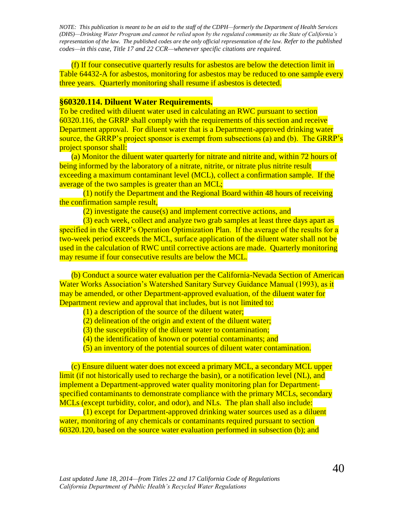(f) If four consecutive quarterly results for asbestos are below the detection limit in Table 64432-A for asbestos, monitoring for asbestos may be reduced to one sample every three years. Quarterly monitoring shall resume if asbestos is detected.

#### **§60320.114. Diluent Water Requirements.**

To be credited with diluent water used in calculating an RWC pursuant to section 60320.116, the GRRP shall comply with the requirements of this section and receive Department approval. For diluent water that is a Department-approved drinking water source, the GRRP's project sponsor is exempt from subsections (a) and (b). The GRRP's project sponsor shall:

(a) Monitor the diluent water quarterly for nitrate and nitrite and, within 72 hours of being informed by the laboratory of a nitrate, nitrite, or nitrate plus nitrite result exceeding a maximum contaminant level (MCL), collect a confirmation sample. If the average of the two samples is greater than an MCL;

(1) notify the Department and the Regional Board within 48 hours of receiving the confirmation sample result,

 $(2)$  investigate the cause(s) and implement corrective actions, and

(3) each week, collect and analyze two grab samples at least three days apart as specified in the GRRP's Operation Optimization Plan. If the average of the results for a two-week period exceeds the MCL, surface application of the diluent water shall not be used in the calculation of RWC until corrective actions are made. Quarterly monitoring may resume if four consecutive results are below the MCL.

(b) Conduct a source water evaluation per the California-Nevada Section of American Water Works Association's Watershed Sanitary Survey Guidance Manual (1993), as it may be amended, or other Department-approved evaluation, of the diluent water for Department review and approval that includes, but is not limited to:

- (1) a description of the source of the diluent water;
- (2) delineation of the origin and extent of the diluent water;
- (3) the susceptibility of the diluent water to contamination;

(4) the identification of known or potential contaminants; and

(5) an inventory of the potential sources of diluent water contamination.

(c) Ensure diluent water does not exceed a primary MCL, a secondary MCL upper limit (if not historically used to recharge the basin), or a notification level (NL), and implement a Department-approved water quality monitoring plan for Departmentspecified contaminants to demonstrate compliance with the primary MCLs, secondary MCLs (except turbidity, color, and odor), and NLs. The plan shall also include:

(1) except for Department-approved drinking water sources used as a diluent water, monitoring of any chemicals or contaminants required pursuant to section 60320.120, based on the source water evaluation performed in subsection (b); and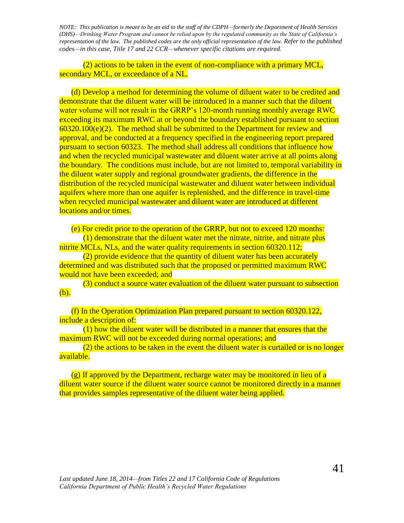(2) actions to be taken in the event of non-compliance with a primary MCL, secondary MCL, or exceedance of a NL.

(d) Develop a method for determining the volume of diluent water to be credited and demonstrate that the diluent water will be introduced in a manner such that the diluent water volume will not result in the GRRP's 120-month running monthly average RWC exceeding its maximum RWC at or beyond the boundary established pursuant to section  $60320.100(e)(2)$ . The method shall be submitted to the Department for review and approval, and be conducted at a frequency specified in the engineering report prepared pursuant to section 60323. The method shall address all conditions that influence how and when the recycled municipal wastewater and diluent water arrive at all points along the boundary. The conditions must include, but are not limited to, temporal variability in the diluent water supply and regional groundwater gradients, the difference in the distribution of the recycled municipal wastewater and diluent water between individual aquifers where more than one aquifer is replenished, and the difference in travel-time when recycled municipal wastewater and diluent water are introduced at different locations and/or times.

(e) For credit prior to the operation of the GRRP, but not to exceed 120 months: (1) demonstrate that the diluent water met the nitrate, nitrite, and nitrate plus nitrite MCLs, NLs, and the water quality requirements in section 60320.112;

(2) provide evidence that the quantity of diluent water has been accurately determined and was distributed such that the proposed or permitted maximum RWC would not have been exceeded; and

(3) conduct a source water evaluation of the diluent water pursuant to subsection (b).

(f) In the Operation Optimization Plan prepared pursuant to section 60320.122, include a description of:

(1) how the diluent water will be distributed in a manner that ensures that the maximum RWC will not be exceeded during normal operations; and

(2) the actions to be taken in the event the diluent water is curtailed or is no longer available.

(g) If approved by the Department, recharge water may be monitored in lieu of a diluent water source if the diluent water source cannot be monitored directly in a manner that provides samples representative of the diluent water being applied.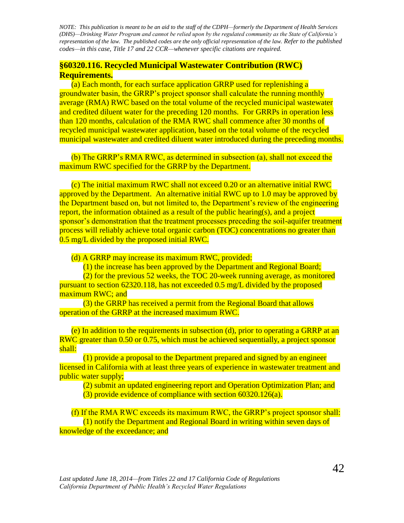## **§60320.116. Recycled Municipal Wastewater Contribution (RWC) Requirements.**

(a) Each month, for each surface application GRRP used for replenishing a groundwater basin, the GRRP's project sponsor shall calculate the running monthly average (RMA) RWC based on the total volume of the recycled municipal wastewater and credited diluent water for the preceding 120 months. For GRRPs in operation less than 120 months, calculation of the RMA RWC shall commence after 30 months of recycled municipal wastewater application, based on the total volume of the recycled municipal wastewater and credited diluent water introduced during the preceding months.

(b) The GRRP's RMA RWC, as determined in subsection (a), shall not exceed the maximum RWC specified for the GRRP by the Department.

(c) The initial maximum RWC shall not exceed 0.20 or an alternative initial RWC approved by the Department. An alternative initial RWC up to 1.0 may be approved by the Department based on, but not limited to, the Department's review of the engineering report, the information obtained as a result of the public hearing(s), and a project sponsor's demonstration that the treatment processes preceding the soil-aquifer treatment process will reliably achieve total organic carbon (TOC) concentrations no greater than 0.5 mg/L divided by the proposed initial RWC.

(d) A GRRP may increase its maximum RWC, provided:

(1) the increase has been approved by the Department and Regional Board;

(2) for the previous 52 weeks, the TOC 20-week running average, as monitored pursuant to section 62320.118, has not exceeded 0.5 mg/L divided by the proposed maximum RWC; and

(3) the GRRP has received a permit from the Regional Board that allows operation of the GRRP at the increased maximum RWC.

(e) In addition to the requirements in subsection (d), prior to operating a GRRP at an RWC greater than 0.50 or 0.75, which must be achieved sequentially, a project sponsor shall:

(1) provide a proposal to the Department prepared and signed by an engineer licensed in California with at least three years of experience in wastewater treatment and public water supply;

(2) submit an updated engineering report and Operation Optimization Plan; and (3) provide evidence of compliance with section 60320.126(a).

(f) If the RMA RWC exceeds its maximum RWC, the GRRP's project sponsor shall: (1) notify the Department and Regional Board in writing within seven days of knowledge of the exceedance; and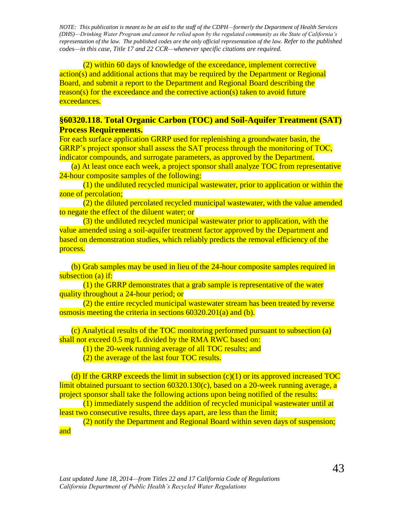(2) within 60 days of knowledge of the exceedance, implement corrective action(s) and additional actions that may be required by the Department or Regional Board, and submit a report to the Department and Regional Board describing the reason(s) for the exceedance and the corrective action(s) taken to avoid future exceedances.

## **§60320.118. Total Organic Carbon (TOC) and Soil-Aquifer Treatment (SAT) Process Requirements.**

For each surface application GRRP used for replenishing a groundwater basin, the GRRP's project sponsor shall assess the SAT process through the monitoring of TOC, indicator compounds, and surrogate parameters, as approved by the Department.

(a) At least once each week, a project sponsor shall analyze TOC from representative 24-hour composite samples of the following:

(1) the undiluted recycled municipal wastewater, prior to application or within the zone of percolation;

(2) the diluted percolated recycled municipal wastewater, with the value amended to negate the effect of the diluent water; or

(3) the undiluted recycled municipal wastewater prior to application, with the value amended using a soil-aquifer treatment factor approved by the Department and based on demonstration studies, which reliably predicts the removal efficiency of the process.

(b) Grab samples may be used in lieu of the 24-hour composite samples required in subsection (a) if:

(1) the GRRP demonstrates that a grab sample is representative of the water quality throughout a 24-hour period; or

(2) the entire recycled municipal wastewater stream has been treated by reverse osmosis meeting the criteria in sections 60320.201(a) and (b).

(c) Analytical results of the TOC monitoring performed pursuant to subsection (a) shall not exceed 0.5 mg/L divided by the RMA RWC based on:

(1) the 20-week running average of all TOC results; and

(2) the average of the last four TOC results.

(d) If the GRRP exceeds the limit in subsection  $(c)(1)$  or its approved increased TOC limit obtained pursuant to section 60320.130(c), based on a 20-week running average, a project sponsor shall take the following actions upon being notified of the results:

(1) immediately suspend the addition of recycled municipal wastewater until at least two consecutive results, three days apart, are less than the limit;

(2) notify the Department and Regional Board within seven days of suspension; and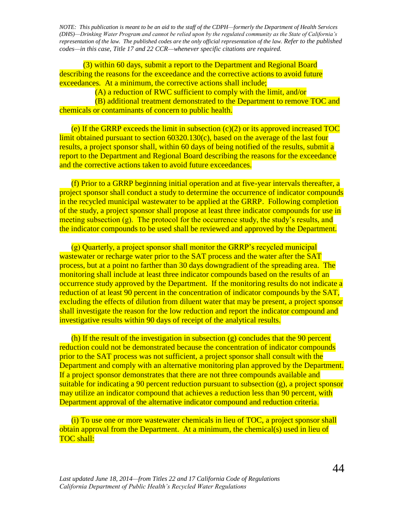(3) within 60 days, submit a report to the Department and Regional Board describing the reasons for the exceedance and the corrective actions to avoid future exceedances. At a minimum, the corrective actions shall include;

(A) a reduction of RWC sufficient to comply with the limit, and/or

(B) additional treatment demonstrated to the Department to remove TOC and chemicals or contaminants of concern to public health.

(e) If the GRRP exceeds the limit in subsection  $(c)(2)$  or its approved increased TOC limit obtained pursuant to section  $60320.130(c)$ , based on the average of the last four results, a project sponsor shall, within 60 days of being notified of the results, submit a report to the Department and Regional Board describing the reasons for the exceedance and the corrective actions taken to avoid future exceedances.

(f) Prior to a GRRP beginning initial operation and at five-year intervals thereafter, a project sponsor shall conduct a study to determine the occurrence of indicator compounds in the recycled municipal wastewater to be applied at the GRRP. Following completion of the study, a project sponsor shall propose at least three indicator compounds for use in meeting subsection (g). The protocol for the occurrence study, the study's results, and the indicator compounds to be used shall be reviewed and approved by the Department.

(g) Quarterly, a project sponsor shall monitor the GRRP's recycled municipal wastewater or recharge water prior to the SAT process and the water after the SAT process, but at a point no farther than 30 days downgradient of the spreading area. The monitoring shall include at least three indicator compounds based on the results of an occurrence study approved by the Department. If the monitoring results do not indicate a reduction of at least 90 percent in the concentration of indicator compounds by the SAT, excluding the effects of dilution from diluent water that may be present, a project sponsor shall investigate the reason for the low reduction and report the indicator compound and investigative results within 90 days of receipt of the analytical results.

(h) If the result of the investigation in subsection (g) concludes that the 90 percent reduction could not be demonstrated because the concentration of indicator compounds prior to the SAT process was not sufficient, a project sponsor shall consult with the Department and comply with an alternative monitoring plan approved by the Department. If a project sponsor demonstrates that there are not three compounds available and suitable for indicating a 90 percent reduction pursuant to subsection  $(g)$ , a project sponsor may utilize an indicator compound that achieves a reduction less than 90 percent, with Department approval of the alternative indicator compound and reduction criteria.

(i) To use one or more wastewater chemicals in lieu of TOC, a project sponsor shall obtain approval from the Department. At a minimum, the chemical(s) used in lieu of TOC shall: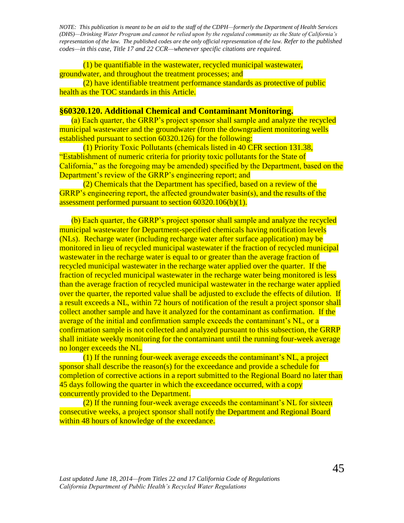(1) be quantifiable in the wastewater, recycled municipal wastewater, groundwater, and throughout the treatment processes; and

(2) have identifiable treatment performance standards as protective of public health as the TOC standards in this Article.

## **§60320.120. Additional Chemical and Contaminant Monitoring.**

(a) Each quarter, the GRRP's project sponsor shall sample and analyze the recycled municipal wastewater and the groundwater (from the downgradient monitoring wells established pursuant to section 60320.126) for the following:

(1) Priority Toxic Pollutants (chemicals listed in 40 CFR section 131.38, "Establishment of numeric criteria for priority toxic pollutants for the State of California," as the foregoing may be amended) specified by the Department, based on the Department's review of the GRRP's engineering report; and

(2) Chemicals that the Department has specified, based on a review of the GRRP's engineering report, the affected groundwater basin(s), and the results of the assessment performed pursuant to section 60320.106(b)(1).

(b) Each quarter, the GRRP's project sponsor shall sample and analyze the recycled municipal wastewater for Department-specified chemicals having notification levels (NLs). Recharge water (including recharge water after surface application) may be monitored in lieu of recycled municipal wastewater if the fraction of recycled municipal wastewater in the recharge water is equal to or greater than the average fraction of recycled municipal wastewater in the recharge water applied over the quarter. If the fraction of recycled municipal wastewater in the recharge water being monitored is less than the average fraction of recycled municipal wastewater in the recharge water applied over the quarter, the reported value shall be adjusted to exclude the effects of dilution. If a result exceeds a NL, within 72 hours of notification of the result a project sponsor shall collect another sample and have it analyzed for the contaminant as confirmation. If the average of the initial and confirmation sample exceeds the contaminant's NL, or a confirmation sample is not collected and analyzed pursuant to this subsection, the GRRP shall initiate weekly monitoring for the contaminant until the running four-week average no longer exceeds the NL.

(1) If the running four-week average exceeds the contaminant's NL, a project sponsor shall describe the reason(s) for the exceedance and provide a schedule for completion of corrective actions in a report submitted to the Regional Board no later than 45 days following the quarter in which the exceedance occurred, with a copy concurrently provided to the Department.

(2) If the running four-week average exceeds the contaminant's NL for sixteen consecutive weeks, a project sponsor shall notify the Department and Regional Board within 48 hours of knowledge of the exceedance.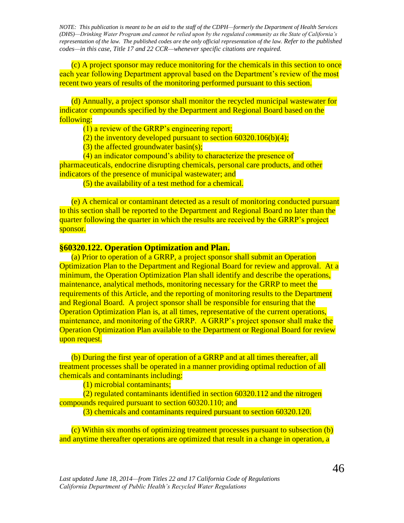(c) A project sponsor may reduce monitoring for the chemicals in this section to once each year following Department approval based on the Department's review of the most recent two years of results of the monitoring performed pursuant to this section.

(d) Annually, a project sponsor shall monitor the recycled municipal wastewater for indicator compounds specified by the Department and Regional Board based on the following:

(1) a review of the GRRP's engineering report;

(2) the inventory developed pursuant to section  $60320.106(b)(4)$ ;

(3) the affected groundwater basin(s);

(4) an indicator compound's ability to characterize the presence of pharmaceuticals, endocrine disrupting chemicals, personal care products, and other indicators of the presence of municipal wastewater; and

(5) the availability of a test method for a chemical.

(e) A chemical or contaminant detected as a result of monitoring conducted pursuant to this section shall be reported to the Department and Regional Board no later than the quarter following the quarter in which the results are received by the GRRP's project sponsor.

#### **§60320.122. Operation Optimization and Plan.**

(a) Prior to operation of a GRRP, a project sponsor shall submit an Operation Optimization Plan to the Department and Regional Board for review and approval. At a minimum, the Operation Optimization Plan shall identify and describe the operations, maintenance, analytical methods, monitoring necessary for the GRRP to meet the requirements of this Article, and the reporting of monitoring results to the Department and Regional Board. A project sponsor shall be responsible for ensuring that the Operation Optimization Plan is, at all times, representative of the current operations, maintenance, and monitoring of the GRRP. A GRRP's project sponsor shall make the Operation Optimization Plan available to the Department or Regional Board for review upon request.

(b) During the first year of operation of a GRRP and at all times thereafter, all treatment processes shall be operated in a manner providing optimal reduction of all chemicals and contaminants including:

(1) microbial contaminants;

(2) regulated contaminants identified in section 60320.112 and the nitrogen compounds required pursuant to section 60320.110; and

(3) chemicals and contaminants required pursuant to section 60320.120.

(c) Within six months of optimizing treatment processes pursuant to subsection (b) and anytime thereafter operations are optimized that result in a change in operation, a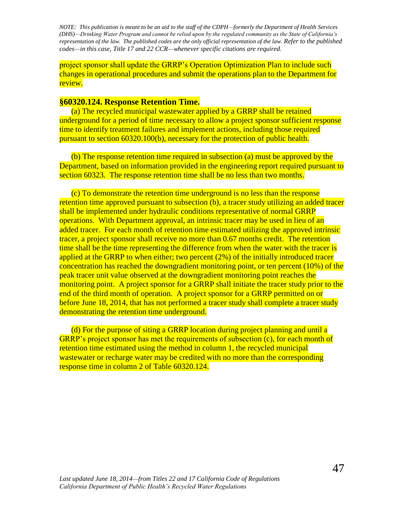project sponsor shall update the GRRP's Operation Optimization Plan to include such changes in operational procedures and submit the operations plan to the Department for review.

#### **§60320.124. Response Retention Time.**

(a) The recycled municipal wastewater applied by a GRRP shall be retained underground for a period of time necessary to allow a project sponsor sufficient response time to identify treatment failures and implement actions, including those required pursuant to section 60320.100(b), necessary for the protection of public health.

(b) The response retention time required in subsection (a) must be approved by the Department, based on information provided in the engineering report required pursuant to section 60323. The response retention time shall be no less than two months.

(c) To demonstrate the retention time underground is no less than the response retention time approved pursuant to subsection (b), a tracer study utilizing an added tracer shall be implemented under hydraulic conditions representative of normal GRRP operations. With Department approval, an intrinsic tracer may be used in lieu of an added tracer. For each month of retention time estimated utilizing the approved intrinsic tracer, a project sponsor shall receive no more than 0.67 months credit. The retention time shall be the time representing the difference from when the water with the tracer is applied at the GRRP to when either; two percent (2%) of the initially introduced tracer concentration has reached the downgradient monitoring point, or ten percent (10%) of the peak tracer unit value observed at the downgradient monitoring point reaches the monitoring point. A project sponsor for a GRRP shall initiate the tracer study prior to the end of the third month of operation. A project sponsor for a GRRP permitted on or before June 18, 2014, that has not performed a tracer study shall complete a tracer study demonstrating the retention time underground.

(d) For the purpose of siting a GRRP location during project planning and until a GRRP's project sponsor has met the requirements of subsection (c), for each month of retention time estimated using the method in column 1, the recycled municipal wastewater or recharge water may be credited with no more than the corresponding response time in column 2 of Table 60320.124.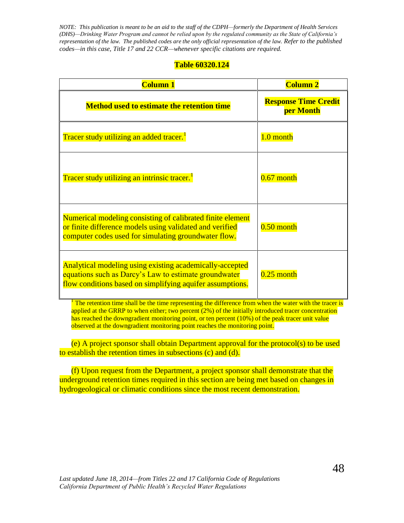## **Table 60320.124**

| <b>Column 1</b>                                                                                                                                                                                                                                                                           | <b>Column 2</b>                          |
|-------------------------------------------------------------------------------------------------------------------------------------------------------------------------------------------------------------------------------------------------------------------------------------------|------------------------------------------|
| <b>Method used to estimate the retention time</b>                                                                                                                                                                                                                                         | <b>Response Time Credit</b><br>per Month |
| Tracer study utilizing an added tracer. <sup>1</sup>                                                                                                                                                                                                                                      | 1.0 month                                |
| Tracer study utilizing an intrinsic tracer. <sup>1</sup>                                                                                                                                                                                                                                  | $0.67$ month                             |
| Numerical modeling consisting of calibrated finite element<br>or finite difference models using validated and verified<br>computer codes used for simulating groundwater flow.                                                                                                            | $0.50$ month                             |
| Analytical modeling using existing academically-accepted<br>equations such as Darcy's Law to estimate groundwater<br>flow conditions based on simplifying aquifer assumptions.<br>The retention time shall be the time representing the difference from when the water with the tracer is | $0.25$ month                             |

applied at the GRRP to when either; two percent (2%) of the initially introduced tracer concentration has reached the downgradient monitoring point, or ten percent (10%) of the peak tracer unit value observed at the downgradient monitoring point reaches the monitoring point.

(e) A project sponsor shall obtain Department approval for the protocol(s) to be used to establish the retention times in subsections (c) and (d).

(f) Upon request from the Department, a project sponsor shall demonstrate that the underground retention times required in this section are being met based on changes in hydrogeological or climatic conditions since the most recent demonstration.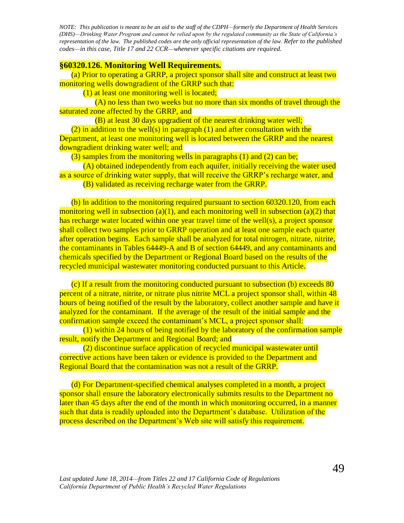## **§60320.126. Monitoring Well Requirements.**

(a) Prior to operating a GRRP, a project sponsor shall site and construct at least two monitoring wells downgradient of the GRRP such that:

(1) at least one monitoring well is located;

(A) no less than two weeks but no more than six months of travel through the saturated zone affected by the GRRP, and

(B) at least 30 days upgradient of the nearest drinking water well;

(2) in addition to the well(s) in paragraph (1) and after consultation with the Department, at least one monitoring well is located between the GRRP and the nearest downgradient drinking water well; and

(3) samples from the monitoring wells in paragraphs (1) and (2) can be;

(A) obtained independently from each aquifer, initially receiving the water used as a source of drinking water supply, that will receive the GRRP's recharge water, and (B) validated as receiving recharge water from the GRRP.

(b) In addition to the monitoring required pursuant to section 60320.120, from each monitoring well in subsection (a)(1), and each monitoring well in subsection (a)(2) that has recharge water located within one year travel time of the well(s), a project sponsor shall collect two samples prior to GRRP operation and at least one sample each quarter after operation begins. Each sample shall be analyzed for total nitrogen, nitrate, nitrite, the contaminants in Tables 64449-A and B of section 64449, and any contaminants and chemicals specified by the Department or Regional Board based on the results of the recycled municipal wastewater monitoring conducted pursuant to this Article.

(c) If a result from the monitoring conducted pursuant to subsection (b) exceeds 80 percent of a nitrate, nitrite, or nitrate plus nitrite MCL a project sponsor shall, within 48 hours of being notified of the result by the laboratory, collect another sample and have it analyzed for the contaminant. If the average of the result of the initial sample and the confirmation sample exceed the contaminant's MCL, a project sponsor shall:

(1) within 24 hours of being notified by the laboratory of the confirmation sample result, notify the Department and Regional Board; and

(2) discontinue surface application of recycled municipal wastewater until corrective actions have been taken or evidence is provided to the Department and Regional Board that the contamination was not a result of the GRRP.

(d) For Department-specified chemical analyses completed in a month, a project sponsor shall ensure the laboratory electronically submits results to the Department no later than 45 days after the end of the month in which monitoring occurred, in a manner such that data is readily uploaded into the Department's database. Utilization of the process described on the Department's Web site will satisfy this requirement.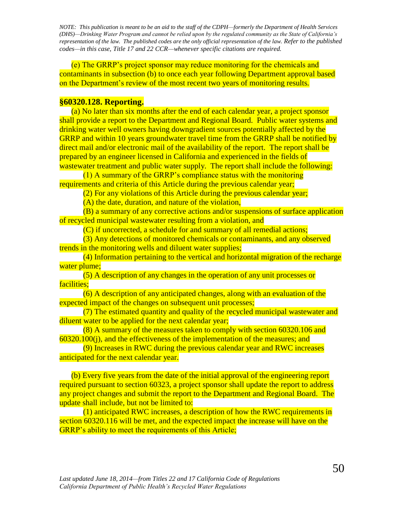(e) The GRRP's project sponsor may reduce monitoring for the chemicals and contaminants in subsection (b) to once each year following Department approval based on the Department's review of the most recent two years of monitoring results.

### **§60320.128. Reporting.**

(a) No later than six months after the end of each calendar year, a project sponsor shall provide a report to the Department and Regional Board. Public water systems and drinking water well owners having downgradient sources potentially affected by the GRRP and within 10 years groundwater travel time from the GRRP shall be notified by direct mail and/or electronic mail of the availability of the report. The report shall be prepared by an engineer licensed in California and experienced in the fields of wastewater treatment and public water supply. The report shall include the following:

(1) A summary of the GRRP's compliance status with the monitoring requirements and criteria of this Article during the previous calendar year;

(2) For any violations of this Article during the previous calendar year;

(A) the date, duration, and nature of the violation,

(B) a summary of any corrective actions and/or suspensions of surface application of recycled municipal wastewater resulting from a violation, and

(C) if uncorrected, a schedule for and summary of all remedial actions;

(3) Any detections of monitored chemicals or contaminants, and any observed trends in the monitoring wells and diluent water supplies;

(4) Information pertaining to the vertical and horizontal migration of the recharge water plume;

(5) A description of any changes in the operation of any unit processes or facilities;

(6) A description of any anticipated changes, along with an evaluation of the expected impact of the changes on subsequent unit processes;

(7) The estimated quantity and quality of the recycled municipal wastewater and diluent water to be applied for the next calendar year;

(8) A summary of the measures taken to comply with section 60320.106 and 60320.100(j), and the effectiveness of the implementation of the measures; and

(9) Increases in RWC during the previous calendar year and RWC increases anticipated for the next calendar year.

(b) Every five years from the date of the initial approval of the engineering report required pursuant to section 60323, a project sponsor shall update the report to address any project changes and submit the report to the Department and Regional Board. The update shall include, but not be limited to:

(1) anticipated RWC increases, a description of how the RWC requirements in section 60320.116 will be met, and the expected impact the increase will have on the GRRP's ability to meet the requirements of this Article;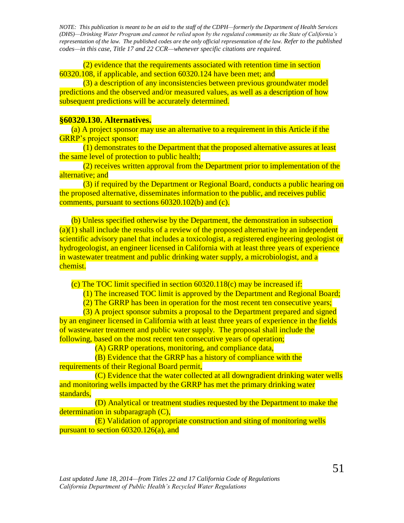(2) evidence that the requirements associated with retention time in section 60320.108, if applicable, and section 60320.124 have been met; and

(3) a description of any inconsistencies between previous groundwater model predictions and the observed and/or measured values, as well as a description of how subsequent predictions will be accurately determined.

## **§60320.130. Alternatives.**

(a) A project sponsor may use an alternative to a requirement in this Article if the GRRP's project sponsor:

(1) demonstrates to the Department that the proposed alternative assures at least the same level of protection to public health;

(2) receives written approval from the Department prior to implementation of the alternative; and

(3) if required by the Department or Regional Board, conducts a public hearing on the proposed alternative, disseminates information to the public, and receives public comments, pursuant to sections 60320.102(b) and (c).

(b) Unless specified otherwise by the Department, the demonstration in subsection (a)(1) shall include the results of a review of the proposed alternative by an independent scientific advisory panel that includes a toxicologist, a registered engineering geologist or hydrogeologist, an engineer licensed in California with at least three years of experience in wastewater treatment and public drinking water supply, a microbiologist, and a chemist.

(c) The TOC limit specified in section  $60320.118(c)$  may be increased if:

(1) The increased TOC limit is approved by the Department and Regional Board;

(2) The GRRP has been in operation for the most recent ten consecutive years;

(3) A project sponsor submits a proposal to the Department prepared and signed by an engineer licensed in California with at least three years of experience in the fields of wastewater treatment and public water supply. The proposal shall include the following, based on the most recent ten consecutive years of operation;

(A) GRRP operations, monitoring, and compliance data,

(B) Evidence that the GRRP has a history of compliance with the requirements of their Regional Board permit,

(C) Evidence that the water collected at all downgradient drinking water wells and monitoring wells impacted by the GRRP has met the primary drinking water standards.

(D) Analytical or treatment studies requested by the Department to make the determination in subparagraph (C),

(E) Validation of appropriate construction and siting of monitoring wells pursuant to section 60320.126(a), and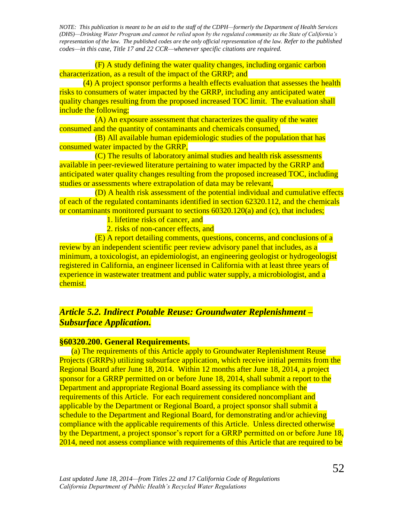(F) A study defining the water quality changes, including organic carbon characterization, as a result of the impact of the GRRP; and

(4) A project sponsor performs a health effects evaluation that assesses the health risks to consumers of water impacted by the GRRP, including any anticipated water quality changes resulting from the proposed increased TOC limit. The evaluation shall include the following;

(A) An exposure assessment that characterizes the quality of the water consumed and the quantity of contaminants and chemicals consumed,

(B) All available human epidemiologic studies of the population that has consumed water impacted by the GRRP,

(C) The results of laboratory animal studies and health risk assessments available in peer-reviewed literature pertaining to water impacted by the GRRP and anticipated water quality changes resulting from the proposed increased TOC, including studies or assessments where extrapolation of data may be relevant,

(D) A health risk assessment of the potential individual and cumulative effects of each of the regulated contaminants identified in section 62320.112, and the chemicals or contaminants monitored pursuant to sections 60320.120(a) and (c), that includes;

1. lifetime risks of cancer, and

2. risks of non-cancer effects, and

(E) A report detailing comments, questions, concerns, and conclusions of a review by an independent scientific peer review advisory panel that includes, as a minimum, a toxicologist, an epidemiologist, an engineering geologist or hydrogeologist registered in California, an engineer licensed in California with at least three years of experience in wastewater treatment and public water supply, a microbiologist, and a chemist.

# *Article 5.2. Indirect Potable Reuse: Groundwater Replenishment – Subsurface Application.*

## **§60320.200. General Requirements.**

(a) The requirements of this Article apply to Groundwater Replenishment Reuse Projects (GRRPs) utilizing subsurface application, which receive initial permits from the Regional Board after June 18, 2014. Within 12 months after June 18, 2014, a project sponsor for a GRRP permitted on or before June 18, 2014, shall submit a report to the Department and appropriate Regional Board assessing its compliance with the requirements of this Article. For each requirement considered noncompliant and applicable by the Department or Regional Board, a project sponsor shall submit a schedule to the Department and Regional Board, for demonstrating and/or achieving compliance with the applicable requirements of this Article. Unless directed otherwise by the Department, a project sponsor's report for a GRRP permitted on or before June 18, 2014, need not assess compliance with requirements of this Article that are required to be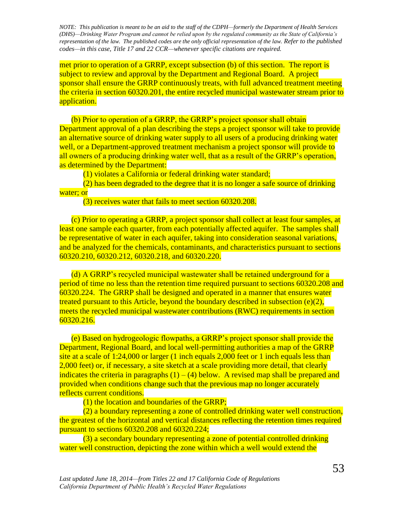met prior to operation of a GRRP, except subsection (b) of this section. The report is subject to review and approval by the Department and Regional Board. A project sponsor shall ensure the GRRP continuously treats, with full advanced treatment meeting the criteria in section 60320.201, the entire recycled municipal wastewater stream prior to application.

(b) Prior to operation of a GRRP, the GRRP's project sponsor shall obtain Department approval of a plan describing the steps a project sponsor will take to provide an alternative source of drinking water supply to all users of a producing drinking water well, or a Department-approved treatment mechanism a project sponsor will provide to all owners of a producing drinking water well, that as a result of the GRRP's operation, as determined by the Department:

(1) violates a California or federal drinking water standard;

(2) has been degraded to the degree that it is no longer a safe source of drinking water; or

(3) receives water that fails to meet section 60320.208.

(c) Prior to operating a GRRP, a project sponsor shall collect at least four samples, at least one sample each quarter, from each potentially affected aquifer. The samples shall be representative of water in each aquifer, taking into consideration seasonal variations, and be analyzed for the chemicals, contaminants, and characteristics pursuant to sections 60320.210, 60320.212, 60320.218, and 60320.220.

(d) A GRRP's recycled municipal wastewater shall be retained underground for a period of time no less than the retention time required pursuant to sections 60320.208 and 60320.224. The GRRP shall be designed and operated in a manner that ensures water treated pursuant to this Article, beyond the boundary described in subsection (e)(2), meets the recycled municipal wastewater contributions (RWC) requirements in section 60320.216.

(e) Based on hydrogeologic flowpaths, a GRRP's project sponsor shall provide the Department, Regional Board, and local well-permitting authorities a map of the GRRP site at a scale of 1:24,000 or larger (1 inch equals 2,000 feet or 1 inch equals less than 2,000 feet) or, if necessary, a site sketch at a scale providing more detail, that clearly indicates the criteria in paragraphs  $(1) - (4)$  below. A revised map shall be prepared and provided when conditions change such that the previous map no longer accurately reflects current conditions.

(1) the location and boundaries of the GRRP;

(2) a boundary representing a zone of controlled drinking water well construction, the greatest of the horizontal and vertical distances reflecting the retention times required pursuant to sections 60320.208 and 60320.224;

(3) a secondary boundary representing a zone of potential controlled drinking water well construction, depicting the zone within which a well would extend the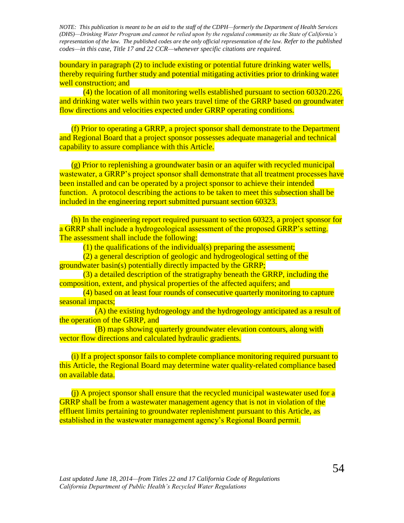boundary in paragraph (2) to include existing or potential future drinking water wells, thereby requiring further study and potential mitigating activities prior to drinking water well construction; and

(4) the location of all monitoring wells established pursuant to section 60320.226, and drinking water wells within two years travel time of the GRRP based on groundwater flow directions and velocities expected under GRRP operating conditions.

(f) Prior to operating a GRRP, a project sponsor shall demonstrate to the Department and Regional Board that a project sponsor possesses adequate managerial and technical capability to assure compliance with this Article.

(g) Prior to replenishing a groundwater basin or an aquifer with recycled municipal wastewater, a GRRP's project sponsor shall demonstrate that all treatment processes have been installed and can be operated by a project sponsor to achieve their intended function. A protocol describing the actions to be taken to meet this subsection shall be included in the engineering report submitted pursuant section 60323.

(h) In the engineering report required pursuant to section 60323, a project sponsor for a GRRP shall include a hydrogeological assessment of the proposed GRRP's setting. The assessment shall include the following:

 $(1)$  the qualifications of the individual $(s)$  preparing the assessment;

(2) a general description of geologic and hydrogeological setting of the groundwater basin(s) potentially directly impacted by the GRRP;

(3) a detailed description of the stratigraphy beneath the GRRP, including the composition, extent, and physical properties of the affected aquifers; and

(4) based on at least four rounds of consecutive quarterly monitoring to capture seasonal impacts;

(A) the existing hydrogeology and the hydrogeology anticipated as a result of the operation of the GRRP, and

(B) maps showing quarterly groundwater elevation contours, along with vector flow directions and calculated hydraulic gradients.

(i) If a project sponsor fails to complete compliance monitoring required pursuant to this Article, the Regional Board may determine water quality-related compliance based on available data.

(j) A project sponsor shall ensure that the recycled municipal wastewater used for a GRRP shall be from a wastewater management agency that is not in violation of the effluent limits pertaining to groundwater replenishment pursuant to this Article, as established in the wastewater management agency's Regional Board permit.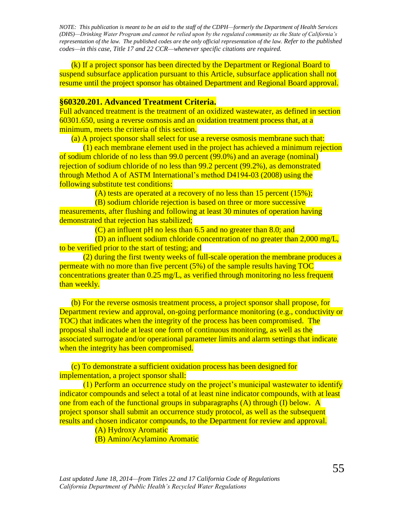(k) If a project sponsor has been directed by the Department or Regional Board to suspend subsurface application pursuant to this Article, subsurface application shall not resume until the project sponsor has obtained Department and Regional Board approval.

## **§60320.201. Advanced Treatment Criteria.**

Full advanced treatment is the treatment of an oxidized wastewater, as defined in section 60301.650, using a reverse osmosis and an oxidation treatment process that, at a minimum, meets the criteria of this section.

(a) A project sponsor shall select for use a reverse osmosis membrane such that:

(1) each membrane element used in the project has achieved a minimum rejection of sodium chloride of no less than 99.0 percent (99.0%) and an average (nominal) rejection of sodium chloride of no less than 99.2 percent (99.2%), as demonstrated through Method A of ASTM International's method D4194-03 (2008) using the following substitute test conditions:

(A) tests are operated at a recovery of no less than 15 percent  $(15\%)$ ;

(B) sodium chloride rejection is based on three or more successive measurements, after flushing and following at least 30 minutes of operation having demonstrated that rejection has stabilized;

(C) an influent pH no less than 6.5 and no greater than 8.0; and

(D) an influent sodium chloride concentration of no greater than 2,000 mg/L, to be verified prior to the start of testing; and

(2) during the first twenty weeks of full-scale operation the membrane produces a permeate with no more than five percent (5%) of the sample results having TOC concentrations greater than 0.25 mg/L, as verified through monitoring no less frequent than weekly.

(b) For the reverse osmosis treatment process, a project sponsor shall propose, for Department review and approval, on-going performance monitoring (e.g., conductivity or TOC) that indicates when the integrity of the process has been compromised. The proposal shall include at least one form of continuous monitoring, as well as the associated surrogate and/or operational parameter limits and alarm settings that indicate when the integrity has been compromised.

(c) To demonstrate a sufficient oxidation process has been designed for implementation, a project sponsor shall:

(1) Perform an occurrence study on the project's municipal wastewater to identify indicator compounds and select a total of at least nine indicator compounds, with at least one from each of the functional groups in subparagraphs (A) through (I) below. A project sponsor shall submit an occurrence study protocol, as well as the subsequent results and chosen indicator compounds, to the Department for review and approval.

(A) Hydroxy Aromatic

(B) Amino/Acylamino Aromatic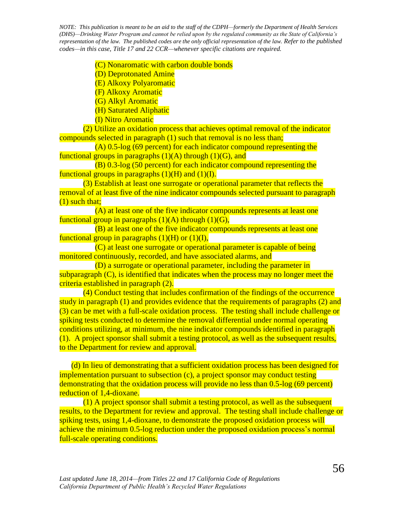(C) Nonaromatic with carbon double bonds

(D) Deprotonated Amine

(E) Alkoxy Polyaromatic

(F) Alkoxy Aromatic

(G) Alkyl Aromatic

(H) Saturated Aliphatic

(I) Nitro Aromatic

(2) Utilize an oxidation process that achieves optimal removal of the indicator compounds selected in paragraph (1) such that removal is no less than;

(A) 0.5-log (69 percent) for each indicator compound representing the functional groups in paragraphs  $(1)(A)$  through  $(1)(G)$ , and

(B) 0.3-log (50 percent) for each indicator compound representing the functional groups in paragraphs  $(1)(H)$  and  $(1)(I)$ .

(3) Establish at least one surrogate or operational parameter that reflects the removal of at least five of the nine indicator compounds selected pursuant to paragraph  $(1)$  such that;

(A) at least one of the five indicator compounds represents at least one functional group in paragraphs  $(1)(A)$  through  $(1)(G)$ ,

(B) at least one of the five indicator compounds represents at least one functional group in paragraphs  $(1)(H)$  or  $(1)(I)$ ,

(C) at least one surrogate or operational parameter is capable of being monitored continuously, recorded, and have associated alarms, and

(D) a surrogate or operational parameter, including the parameter in subparagraph (C), is identified that indicates when the process may no longer meet the criteria established in paragraph (2).

(4) Conduct testing that includes confirmation of the findings of the occurrence study in paragraph (1) and provides evidence that the requirements of paragraphs (2) and (3) can be met with a full-scale oxidation process. The testing shall include challenge or spiking tests conducted to determine the removal differential under normal operating conditions utilizing, at minimum, the nine indicator compounds identified in paragraph (1). A project sponsor shall submit a testing protocol, as well as the subsequent results, to the Department for review and approval.

(d) In lieu of demonstrating that a sufficient oxidation process has been designed for implementation pursuant to subsection (c), a project sponsor may conduct testing demonstrating that the oxidation process will provide no less than 0.5-log (69 percent) reduction of 1,4-dioxane.

(1) A project sponsor shall submit a testing protocol, as well as the subsequent results, to the Department for review and approval. The testing shall include challenge or spiking tests, using 1,4-dioxane, to demonstrate the proposed oxidation process will achieve the minimum 0.5-log reduction under the proposed oxidation process's normal full-scale operating conditions.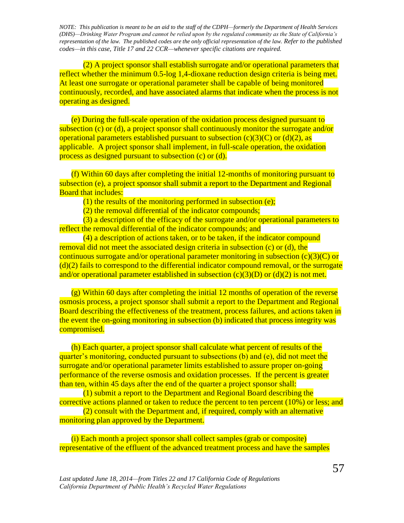(2) A project sponsor shall establish surrogate and/or operational parameters that reflect whether the minimum 0.5-log 1,4-dioxane reduction design criteria is being met. At least one surrogate or operational parameter shall be capable of being monitored continuously, recorded, and have associated alarms that indicate when the process is not operating as designed.

(e) During the full-scale operation of the oxidation process designed pursuant to subsection (c) or (d), a project sponsor shall continuously monitor the surrogate and/or operational parameters established pursuant to subsection  $(c)(3)(C)$  or  $(d)(2)$ , as applicable. A project sponsor shall implement, in full-scale operation, the oxidation process as designed pursuant to subsection (c) or (d).

(f) Within 60 days after completing the initial 12-months of monitoring pursuant to subsection (e), a project sponsor shall submit a report to the Department and Regional Board that includes:

(1) the results of the monitoring performed in subsection  $(e)$ ;

(2) the removal differential of the indicator compounds;

(3) a description of the efficacy of the surrogate and/or operational parameters to reflect the removal differential of the indicator compounds; and

(4) a description of actions taken, or to be taken, if the indicator compound removal did not meet the associated design criteria in subsection (c) or (d), the continuous surrogate and/or operational parameter monitoring in subsection (c)(3)(C) or  $(d)(2)$  fails to correspond to the differential indicator compound removal, or the surrogate and/or operational parameter established in subsection  $(c)(3)(D)$  or  $(d)(2)$  is not met.

(g) Within 60 days after completing the initial 12 months of operation of the reverse osmosis process, a project sponsor shall submit a report to the Department and Regional Board describing the effectiveness of the treatment, process failures, and actions taken in the event the on-going monitoring in subsection (b) indicated that process integrity was compromised.

(h) Each quarter, a project sponsor shall calculate what percent of results of the quarter's monitoring, conducted pursuant to subsections (b) and (e), did not meet the surrogate and/or operational parameter limits established to assure proper on-going performance of the reverse osmosis and oxidation processes. If the percent is greater than ten, within 45 days after the end of the quarter a project sponsor shall:

(1) submit a report to the Department and Regional Board describing the corrective actions planned or taken to reduce the percent to ten percent (10%) or less; and

(2) consult with the Department and, if required, comply with an alternative monitoring plan approved by the Department.

(i) Each month a project sponsor shall collect samples (grab or composite) representative of the effluent of the advanced treatment process and have the samples

*Last updated June 18, 2014—from Titles 22 and 17 California Code of Regulations California Department of Public Health's Recycled Water Regulations*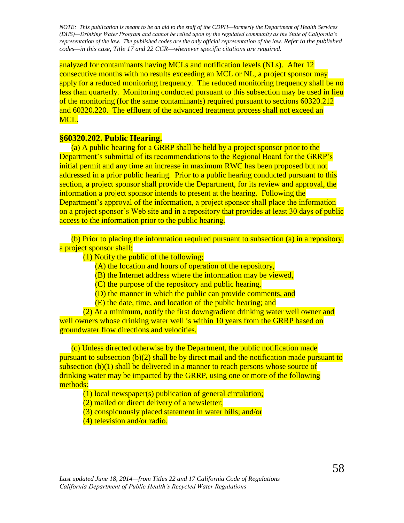analyzed for contaminants having MCLs and notification levels (NLs). After 12 consecutive months with no results exceeding an MCL or NL, a project sponsor may apply for a reduced monitoring frequency. The reduced monitoring frequency shall be no less than quarterly. Monitoring conducted pursuant to this subsection may be used in lieu of the monitoring (for the same contaminants) required pursuant to sections 60320.212 and 60320.220. The effluent of the advanced treatment process shall not exceed an MCL.

## **§60320.202. Public Hearing.**

(a) A public hearing for a GRRP shall be held by a project sponsor prior to the Department's submittal of its recommendations to the Regional Board for the GRRP's initial permit and any time an increase in maximum RWC has been proposed but not addressed in a prior public hearing. Prior to a public hearing conducted pursuant to this section, a project sponsor shall provide the Department, for its review and approval, the information a project sponsor intends to present at the hearing. Following the Department's approval of the information, a project sponsor shall place the information on a project sponsor's Web site and in a repository that provides at least 30 days of public access to the information prior to the public hearing.

(b) Prior to placing the information required pursuant to subsection (a) in a repository, a project sponsor shall:

- (1) Notify the public of the following;
	- (A) the location and hours of operation of the repository,
	- (B) the Internet address where the information may be viewed,
	- (C) the purpose of the repository and public hearing,
	- (D) the manner in which the public can provide comments, and
	- (E) the date, time, and location of the public hearing; and

(2) At a minimum, notify the first downgradient drinking water well owner and well owners whose drinking water well is within 10 years from the GRRP based on groundwater flow directions and velocities.

(c) Unless directed otherwise by the Department, the public notification made pursuant to subsection (b)(2) shall be by direct mail and the notification made pursuant to subsection  $(b)(1)$  shall be delivered in a manner to reach persons whose source of drinking water may be impacted by the GRRP, using one or more of the following methods:

- (1) local newspaper(s) publication of general circulation;
- (2) mailed or direct delivery of a newsletter;
- (3) conspicuously placed statement in water bills; and/or
- (4) television and/or radio.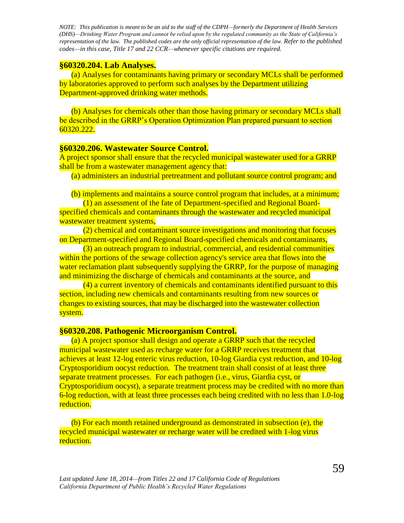#### **§60320.204. Lab Analyses.**

(a) Analyses for contaminants having primary or secondary MCLs shall be performed by laboratories approved to perform such analyses by the Department utilizing Department-approved drinking water methods.

(b) Analyses for chemicals other than those having primary or secondary MCLs shall be described in the GRRP's Operation Optimization Plan prepared pursuant to section 60320.222.

#### **§60320.206. Wastewater Source Control.**

A project sponsor shall ensure that the recycled municipal wastewater used for a GRRP shall be from a wastewater management agency that:

(a) administers an industrial pretreatment and pollutant source control program; and

(b) implements and maintains a source control program that includes, at a minimum;

(1) an assessment of the fate of Department-specified and Regional Boardspecified chemicals and contaminants through the wastewater and recycled municipal wastewater treatment systems,

(2) chemical and contaminant source investigations and monitoring that focuses on Department-specified and Regional Board-specified chemicals and contaminants,

(3) an outreach program to industrial, commercial, and residential communities within the portions of the sewage collection agency's service area that flows into the water reclamation plant subsequently supplying the GRRP, for the purpose of managing and minimizing the discharge of chemicals and contaminants at the source, and

(4) a current inventory of chemicals and contaminants identified pursuant to this section, including new chemicals and contaminants resulting from new sources or changes to existing sources, that may be discharged into the wastewater collection system.

#### **§60320.208. Pathogenic Microorganism Control.**

(a) A project sponsor shall design and operate a GRRP such that the recycled municipal wastewater used as recharge water for a GRRP receives treatment that achieves at least 12-log enteric virus reduction, 10-log Giardia cyst reduction, and 10-log Cryptosporidium oocyst reduction. The treatment train shall consist of at least three separate treatment processes. For each pathogen (i.e., virus, Giardia cyst, or Cryptosporidium oocyst), a separate treatment process may be credited with no more than 6-log reduction, with at least three processes each being credited with no less than 1.0-log reduction.

(b) For each month retained underground as demonstrated in subsection (e), the recycled municipal wastewater or recharge water will be credited with 1-log virus reduction.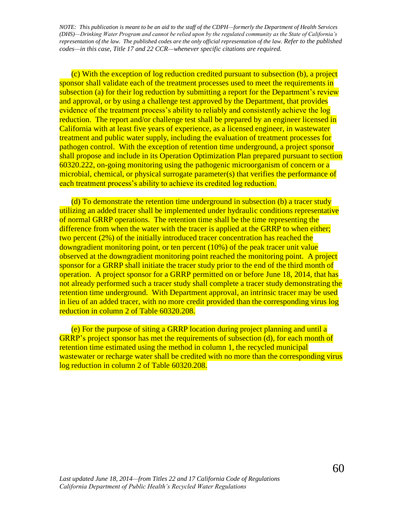(c) With the exception of log reduction credited pursuant to subsection (b), a project sponsor shall validate each of the treatment processes used to meet the requirements in subsection (a) for their log reduction by submitting a report for the Department's review and approval, or by using a challenge test approved by the Department, that provides evidence of the treatment process's ability to reliably and consistently achieve the log reduction. The report and/or challenge test shall be prepared by an engineer licensed in California with at least five years of experience, as a licensed engineer, in wastewater treatment and public water supply, including the evaluation of treatment processes for pathogen control. With the exception of retention time underground, a project sponsor shall propose and include in its Operation Optimization Plan prepared pursuant to section 60320.222, on-going monitoring using the pathogenic microorganism of concern or a microbial, chemical, or physical surrogate parameter(s) that verifies the performance of each treatment process's ability to achieve its credited log reduction.

(d) To demonstrate the retention time underground in subsection (b) a tracer study utilizing an added tracer shall be implemented under hydraulic conditions representative of normal GRRP operations. The retention time shall be the time representing the difference from when the water with the tracer is applied at the GRRP to when either; two percent (2%) of the initially introduced tracer concentration has reached the downgradient monitoring point, or ten percent (10%) of the peak tracer unit value observed at the downgradient monitoring point reached the monitoring point. A project sponsor for a GRRP shall initiate the tracer study prior to the end of the third month of operation. A project sponsor for a GRRP permitted on or before June 18, 2014, that has not already performed such a tracer study shall complete a tracer study demonstrating the retention time underground. With Department approval, an intrinsic tracer may be used in lieu of an added tracer, with no more credit provided than the corresponding virus log reduction in column 2 of Table 60320.208.

(e) For the purpose of siting a GRRP location during project planning and until a GRRP's project sponsor has met the requirements of subsection (d), for each month of retention time estimated using the method in column 1, the recycled municipal wastewater or recharge water shall be credited with no more than the corresponding virus log reduction in column 2 of Table 60320.208.

*Last updated June 18, 2014—from Titles 22 and 17 California Code of Regulations California Department of Public Health's Recycled Water Regulations*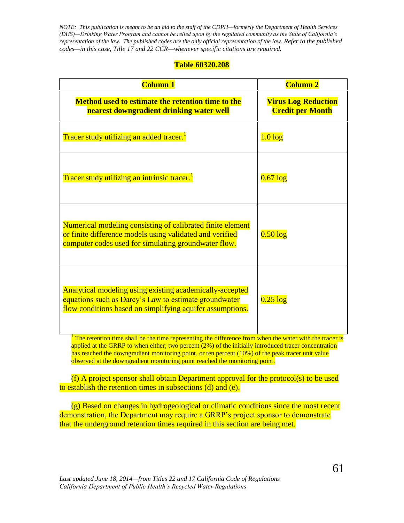### **Table 60320.208**

| <b>Column 1</b>                                                                                                                                                                | <b>Column 2</b>                                       |
|--------------------------------------------------------------------------------------------------------------------------------------------------------------------------------|-------------------------------------------------------|
| <b>Method used to estimate the retention time to the</b><br>nearest downgradient drinking water well                                                                           | <b>Virus Log Reduction</b><br><b>Credit per Month</b> |
| Tracer study utilizing an added tracer.                                                                                                                                        | 1.0 log                                               |
| Tracer study utilizing an intrinsic tracer. <sup>1</sup>                                                                                                                       | $0.67 \log$                                           |
| Numerical modeling consisting of calibrated finite element<br>or finite difference models using validated and verified<br>computer codes used for simulating groundwater flow. | $0.50 \log$                                           |
| Analytical modeling using existing academically-accepted<br>equations such as Darcy's Law to estimate groundwater<br>flow conditions based on simplifying aquifer assumptions. | $0.25 \log$                                           |
| The retention time shall be the time representing the difference from when the water with the tracer is                                                                        |                                                       |

applied at the GRRP to when either; two percent (2%) of the initially introduced tracer concentration has reached the downgradient monitoring point, or ten percent (10%) of the peak tracer unit value observed at the downgradient monitoring point reached the monitoring point.

(f) A project sponsor shall obtain Department approval for the protocol(s) to be used to establish the retention times in subsections (d) and (e).

(g) Based on changes in hydrogeological or climatic conditions since the most recent demonstration, the Department may require a GRRP's project sponsor to demonstrate that the underground retention times required in this section are being met.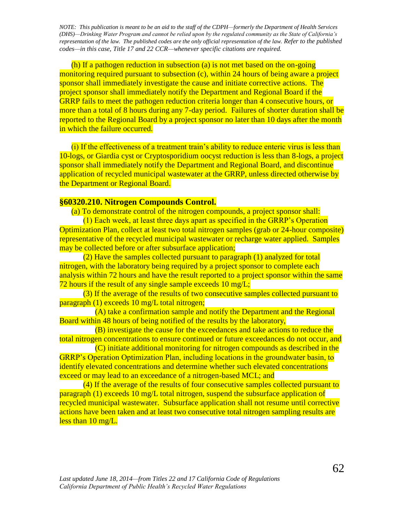(h) If a pathogen reduction in subsection (a) is not met based on the on-going monitoring required pursuant to subsection (c), within 24 hours of being aware a project sponsor shall immediately investigate the cause and initiate corrective actions. The project sponsor shall immediately notify the Department and Regional Board if the GRRP fails to meet the pathogen reduction criteria longer than 4 consecutive hours, or more than a total of 8 hours during any 7-day period. Failures of shorter duration shall be reported to the Regional Board by a project sponsor no later than 10 days after the month in which the failure occurred.

(i) If the effectiveness of a treatment train's ability to reduce enteric virus is less than 10-logs, or Giardia cyst or Cryptosporidium oocyst reduction is less than 8-logs, a project sponsor shall immediately notify the Department and Regional Board, and discontinue application of recycled municipal wastewater at the GRRP, unless directed otherwise by the Department or Regional Board.

#### **§60320.210. Nitrogen Compounds Control.**

(a) To demonstrate control of the nitrogen compounds, a project sponsor shall:

(1) Each week, at least three days apart as specified in the GRRP's Operation Optimization Plan, collect at least two total nitrogen samples (grab or 24-hour composite) representative of the recycled municipal wastewater or recharge water applied. Samples may be collected before or after subsurface application;

(2) Have the samples collected pursuant to paragraph (1) analyzed for total nitrogen, with the laboratory being required by a project sponsor to complete each analysis within 72 hours and have the result reported to a project sponsor within the same 72 hours if the result of any single sample exceeds  $10 \text{ mg/L}$ ;

(3) If the average of the results of two consecutive samples collected pursuant to paragraph (1) exceeds 10 mg/L total nitrogen;

(A) take a confirmation sample and notify the Department and the Regional Board within 48 hours of being notified of the results by the laboratory,

(B) investigate the cause for the exceedances and take actions to reduce the total nitrogen concentrations to ensure continued or future exceedances do not occur, and

(C) initiate additional monitoring for nitrogen compounds as described in the GRRP's Operation Optimization Plan, including locations in the groundwater basin, to identify elevated concentrations and determine whether such elevated concentrations exceed or may lead to an exceedance of a nitrogen-based MCL; and

(4) If the average of the results of four consecutive samples collected pursuant to paragraph (1) exceeds 10 mg/L total nitrogen, suspend the subsurface application of recycled municipal wastewater. Subsurface application shall not resume until corrective actions have been taken and at least two consecutive total nitrogen sampling results are less than 10 mg/L.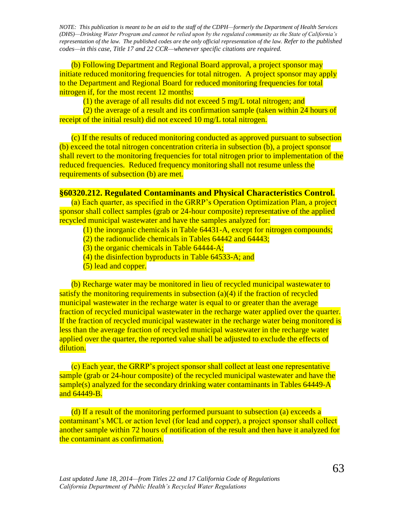(b) Following Department and Regional Board approval, a project sponsor may initiate reduced monitoring frequencies for total nitrogen. A project sponsor may apply to the Department and Regional Board for reduced monitoring frequencies for total nitrogen if, for the most recent 12 months:

(1) the average of all results did not exceed  $5 \text{ mg/L}$  total nitrogen; and

(2) the average of a result and its confirmation sample (taken within 24 hours of receipt of the initial result) did not exceed 10 mg/L total nitrogen.

(c) If the results of reduced monitoring conducted as approved pursuant to subsection (b) exceed the total nitrogen concentration criteria in subsection (b), a project sponsor shall revert to the monitoring frequencies for total nitrogen prior to implementation of the reduced frequencies. Reduced frequency monitoring shall not resume unless the requirements of subsection (b) are met.

## **§60320.212. Regulated Contaminants and Physical Characteristics Control.**

(a) Each quarter, as specified in the GRRP's Operation Optimization Plan, a project sponsor shall collect samples (grab or 24-hour composite) representative of the applied recycled municipal wastewater and have the samples analyzed for:

- (1) the inorganic chemicals in Table 64431-A, except for nitrogen compounds;
- (2) the radionuclide chemicals in Tables 64442 and 64443;
- (3) the organic chemicals in Table 64444-A;
- (4) the disinfection byproducts in Table 64533-A; and
- (5) lead and copper.

(b) Recharge water may be monitored in lieu of recycled municipal wastewater to satisfy the monitoring requirements in subsection (a)(4) if the fraction of recycled municipal wastewater in the recharge water is equal to or greater than the average fraction of recycled municipal wastewater in the recharge water applied over the quarter. If the fraction of recycled municipal wastewater in the recharge water being monitored is less than the average fraction of recycled municipal wastewater in the recharge water applied over the quarter, the reported value shall be adjusted to exclude the effects of dilution.

(c) Each year, the GRRP's project sponsor shall collect at least one representative sample (grab or 24-hour composite) of the recycled municipal wastewater and have the sample(s) analyzed for the secondary drinking water contaminants in Tables 64449-A and 64449-B.

(d) If a result of the monitoring performed pursuant to subsection (a) exceeds a contaminant's MCL or action level (for lead and copper), a project sponsor shall collect another sample within 72 hours of notification of the result and then have it analyzed for the contaminant as confirmation.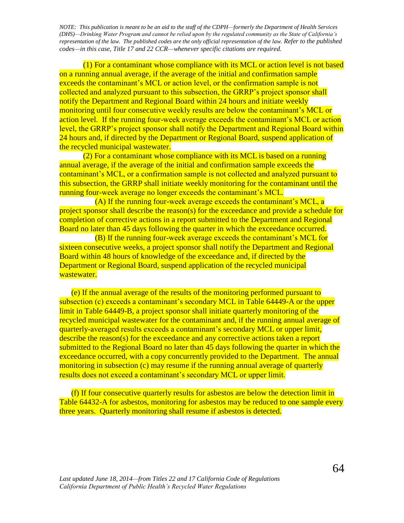(1) For a contaminant whose compliance with its MCL or action level is not based on a running annual average, if the average of the initial and confirmation sample exceeds the contaminant's MCL or action level, or the confirmation sample is not collected and analyzed pursuant to this subsection, the GRRP's project sponsor shall notify the Department and Regional Board within 24 hours and initiate weekly monitoring until four consecutive weekly results are below the contaminant's MCL or action level. If the running four-week average exceeds the contaminant's MCL or action level, the GRRP's project sponsor shall notify the Department and Regional Board within 24 hours and, if directed by the Department or Regional Board, suspend application of the recycled municipal wastewater.

(2) For a contaminant whose compliance with its MCL is based on a running annual average, if the average of the initial and confirmation sample exceeds the contaminant's MCL, or a confirmation sample is not collected and analyzed pursuant to this subsection, the GRRP shall initiate weekly monitoring for the contaminant until the running four-week average no longer exceeds the contaminant's MCL.

(A) If the running four-week average exceeds the contaminant's MCL, a project sponsor shall describe the reason(s) for the exceedance and provide a schedule for completion of corrective actions in a report submitted to the Department and Regional Board no later than 45 days following the quarter in which the exceedance occurred.

(B) If the running four-week average exceeds the contaminant's MCL for sixteen consecutive weeks, a project sponsor shall notify the Department and Regional Board within 48 hours of knowledge of the exceedance and, if directed by the Department or Regional Board, suspend application of the recycled municipal wastewater.

(e) If the annual average of the results of the monitoring performed pursuant to subsection (c) exceeds a contaminant's secondary MCL in Table 64449-A or the upper limit in Table 64449-B, a project sponsor shall initiate quarterly monitoring of the recycled municipal wastewater for the contaminant and, if the running annual average of quarterly-averaged results exceeds a contaminant's secondary MCL or upper limit, describe the reason(s) for the exceedance and any corrective actions taken a report submitted to the Regional Board no later than 45 days following the quarter in which the exceedance occurred, with a copy concurrently provided to the Department. The annual monitoring in subsection (c) may resume if the running annual average of quarterly results does not exceed a contaminant's secondary MCL or upper limit.

(f) If four consecutive quarterly results for asbestos are below the detection limit in Table 64432-A for asbestos, monitoring for asbestos may be reduced to one sample every three years. Quarterly monitoring shall resume if asbestos is detected.

*Last updated June 18, 2014—from Titles 22 and 17 California Code of Regulations California Department of Public Health's Recycled Water Regulations*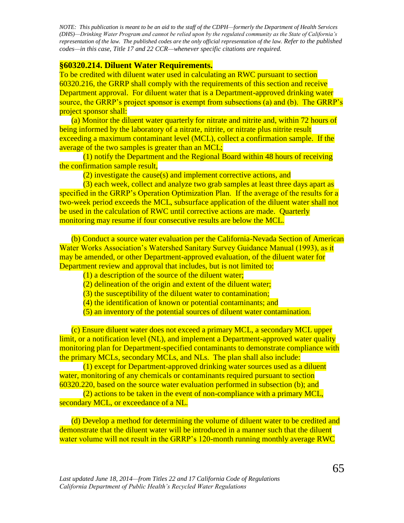### **§60320.214. Diluent Water Requirements.**

To be credited with diluent water used in calculating an RWC pursuant to section 60320.216, the GRRP shall comply with the requirements of this section and receive Department approval. For diluent water that is a Department-approved drinking water source, the GRRP's project sponsor is exempt from subsections (a) and (b). The GRRP's project sponsor shall:

(a) Monitor the diluent water quarterly for nitrate and nitrite and, within 72 hours of being informed by the laboratory of a nitrate, nitrite, or nitrate plus nitrite result exceeding a maximum contaminant level (MCL), collect a confirmation sample. If the average of the two samples is greater than an MCL;

(1) notify the Department and the Regional Board within 48 hours of receiving the confirmation sample result,

 $(2)$  investigate the cause(s) and implement corrective actions, and

(3) each week, collect and analyze two grab samples at least three days apart as specified in the GRRP's Operation Optimization Plan. If the average of the results for a two-week period exceeds the MCL, subsurface application of the diluent water shall not be used in the calculation of RWC until corrective actions are made. Quarterly monitoring may resume if four consecutive results are below the MCL.

(b) Conduct a source water evaluation per the California-Nevada Section of American Water Works Association's Watershed Sanitary Survey Guidance Manual (1993), as it may be amended, or other Department-approved evaluation, of the diluent water for Department review and approval that includes, but is not limited to:

(1) a description of the source of the diluent water;

(2) delineation of the origin and extent of the diluent water;

(3) the susceptibility of the diluent water to contamination;

(4) the identification of known or potential contaminants; and

(5) an inventory of the potential sources of diluent water contamination.

(c) Ensure diluent water does not exceed a primary MCL, a secondary MCL upper limit, or a notification level (NL), and implement a Department-approved water quality monitoring plan for Department-specified contaminants to demonstrate compliance with the primary MCLs, secondary MCLs, and NLs. The plan shall also include:

(1) except for Department-approved drinking water sources used as a diluent water, monitoring of any chemicals or contaminants required pursuant to section 60320.220, based on the source water evaluation performed in subsection (b); and

(2) actions to be taken in the event of non-compliance with a primary MCL, secondary MCL, or exceedance of a NL.

(d) Develop a method for determining the volume of diluent water to be credited and demonstrate that the diluent water will be introduced in a manner such that the diluent water volume will not result in the GRRP's 120-month running monthly average RWC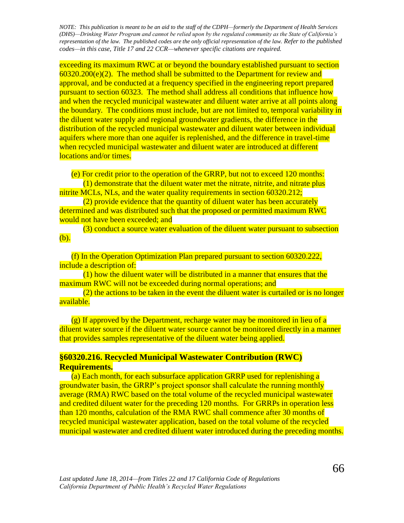exceeding its maximum RWC at or beyond the boundary established pursuant to section  $60320.200(e)(2)$ . The method shall be submitted to the Department for review and approval, and be conducted at a frequency specified in the engineering report prepared pursuant to section 60323. The method shall address all conditions that influence how and when the recycled municipal wastewater and diluent water arrive at all points along the boundary. The conditions must include, but are not limited to, temporal variability in the diluent water supply and regional groundwater gradients, the difference in the distribution of the recycled municipal wastewater and diluent water between individual aquifers where more than one aquifer is replenished, and the difference in travel-time when recycled municipal wastewater and diluent water are introduced at different locations and/or times.

(e) For credit prior to the operation of the GRRP, but not to exceed 120 months: (1) demonstrate that the diluent water met the nitrate, nitrite, and nitrate plus

nitrite MCLs, NLs, and the water quality requirements in section 60320.212; (2) provide evidence that the quantity of diluent water has been accurately

determined and was distributed such that the proposed or permitted maximum RWC would not have been exceeded; and

(3) conduct a source water evaluation of the diluent water pursuant to subsection (b).

(f) In the Operation Optimization Plan prepared pursuant to section 60320.222, include a description of:

(1) how the diluent water will be distributed in a manner that ensures that the maximum RWC will not be exceeded during normal operations; and

(2) the actions to be taken in the event the diluent water is curtailed or is no longer available.

 $(g)$  If approved by the Department, recharge water may be monitored in lieu of a diluent water source if the diluent water source cannot be monitored directly in a manner that provides samples representative of the diluent water being applied.

## **§60320.216. Recycled Municipal Wastewater Contribution (RWC) Requirements.**

(a) Each month, for each subsurface application GRRP used for replenishing a groundwater basin, the GRRP's project sponsor shall calculate the running monthly average (RMA) RWC based on the total volume of the recycled municipal wastewater and credited diluent water for the preceding 120 months. For GRRPs in operation less than 120 months, calculation of the RMA RWC shall commence after 30 months of recycled municipal wastewater application, based on the total volume of the recycled municipal wastewater and credited diluent water introduced during the preceding months.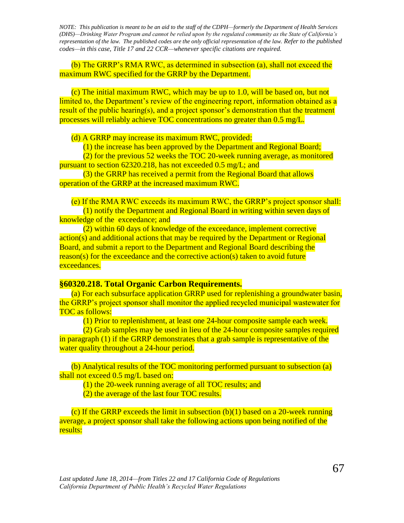(b) The GRRP's RMA RWC, as determined in subsection (a), shall not exceed the maximum RWC specified for the GRRP by the Department.

(c) The initial maximum RWC, which may be up to 1.0, will be based on, but not limited to, the Department's review of the engineering report, information obtained as a result of the public hearing(s), and a project sponsor's demonstration that the treatment processes will reliably achieve TOC concentrations no greater than 0.5 mg/L.

(d) A GRRP may increase its maximum RWC, provided:

(1) the increase has been approved by the Department and Regional Board;

(2) for the previous 52 weeks the TOC 20-week running average, as monitored pursuant to section 62320.218, has not exceeded 0.5 mg/L; and

(3) the GRRP has received a permit from the Regional Board that allows operation of the GRRP at the increased maximum RWC.

(e) If the RMA RWC exceeds its maximum RWC, the GRRP's project sponsor shall: (1) notify the Department and Regional Board in writing within seven days of knowledge of the exceedance; and

(2) within 60 days of knowledge of the exceedance, implement corrective action(s) and additional actions that may be required by the Department or Regional Board, and submit a report to the Department and Regional Board describing the reason(s) for the exceedance and the corrective action(s) taken to avoid future exceedances.

#### **§60320.218. Total Organic Carbon Requirements.**

(a) For each subsurface application GRRP used for replenishing a groundwater basin, the GRRP's project sponsor shall monitor the applied recycled municipal wastewater for TOC as follows:

(1) Prior to replenishment, at least one 24-hour composite sample each week.

(2) Grab samples may be used in lieu of the 24-hour composite samples required in paragraph (1) if the GRRP demonstrates that a grab sample is representative of the water quality throughout a 24-hour period.

(b) Analytical results of the TOC monitoring performed pursuant to subsection (a) shall not exceed 0.5 mg/L based on:

(1) the 20-week running average of all TOC results; and

(2) the average of the last four TOC results.

(c) If the GRRP exceeds the limit in subsection  $(b)(1)$  based on a 20-week running average, a project sponsor shall take the following actions upon being notified of the results: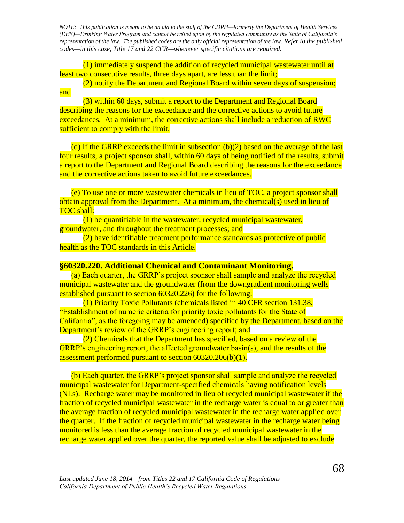(1) immediately suspend the addition of recycled municipal wastewater until at least two consecutive results, three days apart, are less than the limit;

(2) notify the Department and Regional Board within seven days of suspension; and

(3) within 60 days, submit a report to the Department and Regional Board describing the reasons for the exceedance and the corrective actions to avoid future exceedances. At a minimum, the corrective actions shall include a reduction of RWC sufficient to comply with the limit.

(d) If the GRRP exceeds the limit in subsection  $(b)(2)$  based on the average of the last four results, a project sponsor shall, within 60 days of being notified of the results, submit a report to the Department and Regional Board describing the reasons for the exceedance and the corrective actions taken to avoid future exceedances.

(e) To use one or more wastewater chemicals in lieu of TOC, a project sponsor shall obtain approval from the Department. At a minimum, the chemical(s) used in lieu of TOC shall:

(1) be quantifiable in the wastewater, recycled municipal wastewater, groundwater, and throughout the treatment processes; and

(2) have identifiable treatment performance standards as protective of public health as the TOC standards in this Article.

#### **§60320.220. Additional Chemical and Contaminant Monitoring.**

(a) Each quarter, the GRRP's project sponsor shall sample and analyze the recycled municipal wastewater and the groundwater (from the downgradient monitoring wells established pursuant to section 60320.226) for the following:

(1) Priority Toxic Pollutants (chemicals listed in 40 CFR section 131.38, "Establishment of numeric criteria for priority toxic pollutants for the State of California", as the foregoing may be amended) specified by the Department, based on the Department's review of the GRRP's engineering report; and

(2) Chemicals that the Department has specified, based on a review of the GRRP's engineering report, the affected groundwater basin(s), and the results of the assessment performed pursuant to section 60320.206(b)(1).

(b) Each quarter, the GRRP's project sponsor shall sample and analyze the recycled municipal wastewater for Department-specified chemicals having notification levels (NLs). Recharge water may be monitored in lieu of recycled municipal wastewater if the fraction of recycled municipal wastewater in the recharge water is equal to or greater than the average fraction of recycled municipal wastewater in the recharge water applied over the quarter. If the fraction of recycled municipal wastewater in the recharge water being monitored is less than the average fraction of recycled municipal wastewater in the recharge water applied over the quarter, the reported value shall be adjusted to exclude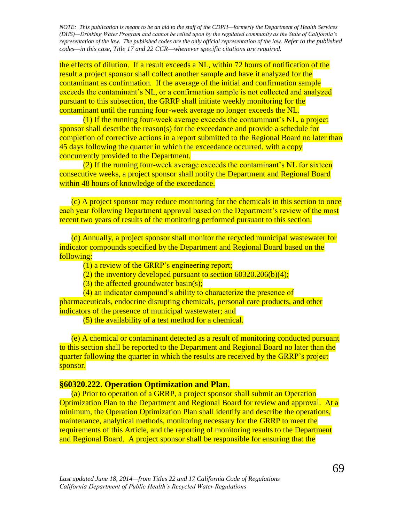the effects of dilution. If a result exceeds a NL, within 72 hours of notification of the result a project sponsor shall collect another sample and have it analyzed for the contaminant as confirmation. If the average of the initial and confirmation sample exceeds the contaminant's NL, or a confirmation sample is not collected and analyzed pursuant to this subsection, the GRRP shall initiate weekly monitoring for the contaminant until the running four-week average no longer exceeds the NL.

(1) If the running four-week average exceeds the contaminant's NL, a project sponsor shall describe the reason(s) for the exceedance and provide a schedule for completion of corrective actions in a report submitted to the Regional Board no later than 45 days following the quarter in which the exceedance occurred, with a copy concurrently provided to the Department.

(2) If the running four-week average exceeds the contaminant's NL for sixteen consecutive weeks, a project sponsor shall notify the Department and Regional Board within 48 hours of knowledge of the exceedance.

(c) A project sponsor may reduce monitoring for the chemicals in this section to once each year following Department approval based on the Department's review of the most recent two years of results of the monitoring performed pursuant to this section.

(d) Annually, a project sponsor shall monitor the recycled municipal wastewater for indicator compounds specified by the Department and Regional Board based on the following:

- (1) a review of the GRRP's engineering report;
- (2) the inventory developed pursuant to section  $60320.206(b)(4)$ ;
- $(3)$  the affected groundwater basin(s);

(4) an indicator compound's ability to characterize the presence of pharmaceuticals, endocrine disrupting chemicals, personal care products, and other indicators of the presence of municipal wastewater; and

(5) the availability of a test method for a chemical.

(e) A chemical or contaminant detected as a result of monitoring conducted pursuant to this section shall be reported to the Department and Regional Board no later than the quarter following the quarter in which the results are received by the GRRP's project sponsor.

#### **§60320.222. Operation Optimization and Plan.**

(a) Prior to operation of a GRRP, a project sponsor shall submit an Operation Optimization Plan to the Department and Regional Board for review and approval. At a minimum, the Operation Optimization Plan shall identify and describe the operations, maintenance, analytical methods, monitoring necessary for the GRRP to meet the requirements of this Article, and the reporting of monitoring results to the Department and Regional Board. A project sponsor shall be responsible for ensuring that the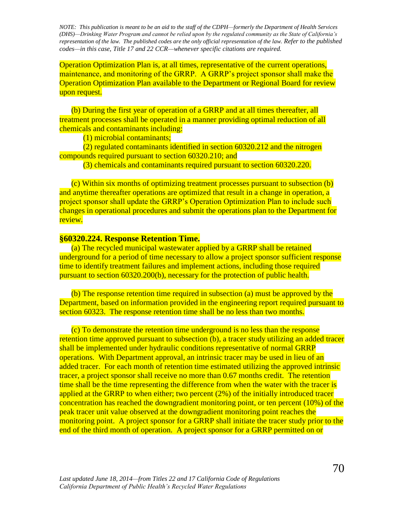Operation Optimization Plan is, at all times, representative of the current operations, maintenance, and monitoring of the GRRP. A GRRP's project sponsor shall make the Operation Optimization Plan available to the Department or Regional Board for review upon request.

(b) During the first year of operation of a GRRP and at all times thereafter, all treatment processes shall be operated in a manner providing optimal reduction of all chemicals and contaminants including:

(1) microbial contaminants;

(2) regulated contaminants identified in section 60320.212 and the nitrogen compounds required pursuant to section 60320.210; and

(3) chemicals and contaminants required pursuant to section 60320.220.

(c) Within six months of optimizing treatment processes pursuant to subsection (b) and anytime thereafter operations are optimized that result in a change in operation, a project sponsor shall update the GRRP's Operation Optimization Plan to include such changes in operational procedures and submit the operations plan to the Department for review.

#### **§60320.224. Response Retention Time.**

(a) The recycled municipal wastewater applied by a GRRP shall be retained underground for a period of time necessary to allow a project sponsor sufficient response time to identify treatment failures and implement actions, including those required pursuant to section 60320.200(b), necessary for the protection of public health.

(b) The response retention time required in subsection (a) must be approved by the Department, based on information provided in the engineering report required pursuant to section 60323. The response retention time shall be no less than two months.

(c) To demonstrate the retention time underground is no less than the response retention time approved pursuant to subsection (b), a tracer study utilizing an added tracer shall be implemented under hydraulic conditions representative of normal GRRP operations. With Department approval, an intrinsic tracer may be used in lieu of an added tracer. For each month of retention time estimated utilizing the approved intrinsic tracer, a project sponsor shall receive no more than 0.67 months credit. The retention time shall be the time representing the difference from when the water with the tracer is applied at the GRRP to when either; two percent (2%) of the initially introduced tracer concentration has reached the downgradient monitoring point, or ten percent (10%) of the peak tracer unit value observed at the downgradient monitoring point reaches the monitoring point. A project sponsor for a GRRP shall initiate the tracer study prior to the end of the third month of operation. A project sponsor for a GRRP permitted on or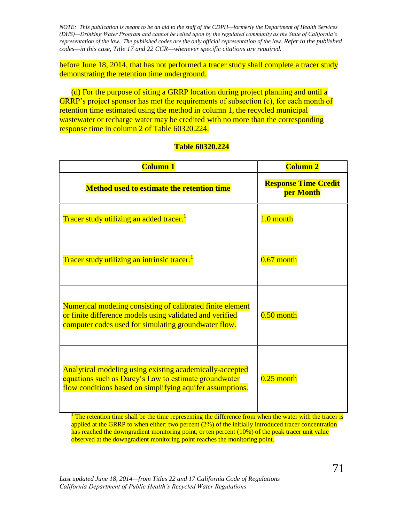before June 18, 2014, that has not performed a tracer study shall complete a tracer study demonstrating the retention time underground.

(d) For the purpose of siting a GRRP location during project planning and until a GRRP's project sponsor has met the requirements of subsection (c), for each month of retention time estimated using the method in column 1, the recycled municipal wastewater or recharge water may be credited with no more than the corresponding response time in column 2 of Table 60320.224.

## **Table 60320.224**

| <b>Column 1</b>                                                                                                                                                                                                                                                                                                                                                                 | <b>Column 2</b>                          |
|---------------------------------------------------------------------------------------------------------------------------------------------------------------------------------------------------------------------------------------------------------------------------------------------------------------------------------------------------------------------------------|------------------------------------------|
| <b>Method used to estimate the retention time</b>                                                                                                                                                                                                                                                                                                                               | <b>Response Time Credit</b><br>per Month |
| Tracer study utilizing an added tracer. <sup>1</sup>                                                                                                                                                                                                                                                                                                                            | 1.0 month                                |
| Tracer study utilizing an intrinsic tracer. <sup>1</sup>                                                                                                                                                                                                                                                                                                                        | $0.67$ month                             |
| Numerical modeling consisting of calibrated finite element<br>or finite difference models using validated and verified<br>computer codes used for simulating groundwater flow.                                                                                                                                                                                                  | $0.50$ month                             |
| Analytical modeling using existing academically-accepted<br>equations such as Darcy's Law to estimate groundwater<br>flow conditions based on simplifying aquifer assumptions.<br>$\frac{1}{2}$ , $\frac{1}{2}$ , $\frac{1}{2}$ , $\frac{1}{2}$ , $\frac{1}{2}$ , $\frac{1}{2}$ , $\frac{1}{2}$ , $\frac{1}{2}$ , $\frac{1}{2}$ , $\frac{1}{2}$ , $\frac{1}{2}$<br>l mu<br>1.00 | $0.25$ month<br>$2.1 - 11$               |

<sup>1</sup> The retention time shall be the time representing the difference from when the water with the tracer is applied at the GRRP to when either; two percent (2%) of the initially introduced tracer concentration has reached the downgradient monitoring point, or ten percent (10%) of the peak tracer unit value observed at the downgradient monitoring point reaches the monitoring point.

*Last updated June 18, 2014—from Titles 22 and 17 California Code of Regulations California Department of Public Health's Recycled Water Regulations*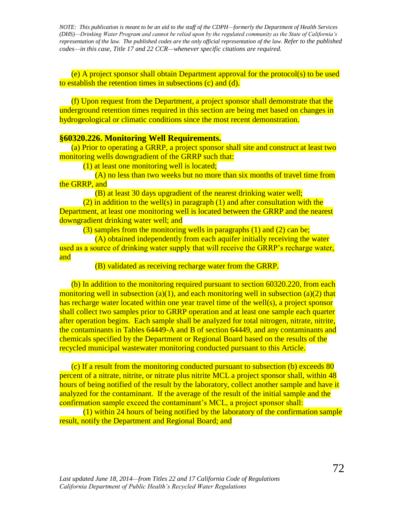(e) A project sponsor shall obtain Department approval for the protocol(s) to be used to establish the retention times in subsections (c) and (d).

(f) Upon request from the Department, a project sponsor shall demonstrate that the underground retention times required in this section are being met based on changes in hydrogeological or climatic conditions since the most recent demonstration.

## **§60320.226. Monitoring Well Requirements.**

(a) Prior to operating a GRRP, a project sponsor shall site and construct at least two monitoring wells downgradient of the GRRP such that:

(1) at least one monitoring well is located;

(A) no less than two weeks but no more than six months of travel time from the GRRP, and

(B) at least 30 days upgradient of the nearest drinking water well;

(2) in addition to the well(s) in paragraph (1) and after consultation with the Department, at least one monitoring well is located between the GRRP and the nearest downgradient drinking water well; and

 $(3)$  samples from the monitoring wells in paragraphs  $(1)$  and  $(2)$  can be;

(A) obtained independently from each aquifer initially receiving the water used as a source of drinking water supply that will receive the GRRP's recharge water, and

(B) validated as receiving recharge water from the GRRP.

(b) In addition to the monitoring required pursuant to section 60320.220, from each monitoring well in subsection (a)(1), and each monitoring well in subsection (a)(2) that has recharge water located within one year travel time of the well(s), a project sponsor shall collect two samples prior to GRRP operation and at least one sample each quarter after operation begins. Each sample shall be analyzed for total nitrogen, nitrate, nitrite, the contaminants in Tables 64449-A and B of section 64449, and any contaminants and chemicals specified by the Department or Regional Board based on the results of the recycled municipal wastewater monitoring conducted pursuant to this Article.

(c) If a result from the monitoring conducted pursuant to subsection (b) exceeds 80 percent of a nitrate, nitrite, or nitrate plus nitrite MCL a project sponsor shall, within 48 hours of being notified of the result by the laboratory, collect another sample and have it analyzed for the contaminant. If the average of the result of the initial sample and the confirmation sample exceed the contaminant's MCL, a project sponsor shall:

(1) within 24 hours of being notified by the laboratory of the confirmation sample result, notify the Department and Regional Board; and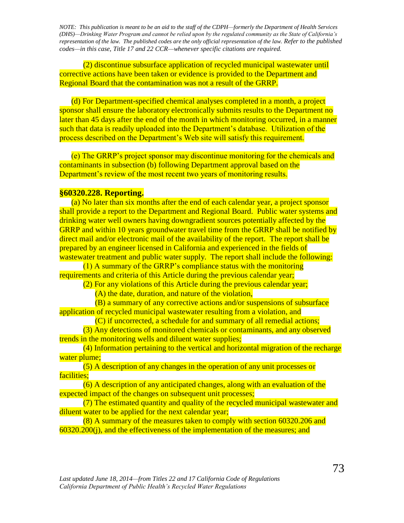(2) discontinue subsurface application of recycled municipal wastewater until corrective actions have been taken or evidence is provided to the Department and Regional Board that the contamination was not a result of the GRRP.

(d) For Department-specified chemical analyses completed in a month, a project sponsor shall ensure the laboratory electronically submits results to the Department no later than 45 days after the end of the month in which monitoring occurred, in a manner such that data is readily uploaded into the Department's database. Utilization of the process described on the Department's Web site will satisfy this requirement.

(e) The GRRP's project sponsor may discontinue monitoring for the chemicals and contaminants in subsection (b) following Department approval based on the Department's review of the most recent two years of monitoring results.

#### **§60320.228. Reporting.**

(a) No later than six months after the end of each calendar year, a project sponsor shall provide a report to the Department and Regional Board. Public water systems and drinking water well owners having downgradient sources potentially affected by the GRRP and within 10 years groundwater travel time from the GRRP shall be notified by direct mail and/or electronic mail of the availability of the report. The report shall be prepared by an engineer licensed in California and experienced in the fields of wastewater treatment and public water supply. The report shall include the following:

(1) A summary of the GRRP's compliance status with the monitoring requirements and criteria of this Article during the previous calendar year;

(2) For any violations of this Article during the previous calendar year;

(A) the date, duration, and nature of the violation,

(B) a summary of any corrective actions and/or suspensions of subsurface application of recycled municipal wastewater resulting from a violation, and

(C) if uncorrected, a schedule for and summary of all remedial actions;

(3) Any detections of monitored chemicals or contaminants, and any observed trends in the monitoring wells and diluent water supplies;

(4) Information pertaining to the vertical and horizontal migration of the recharge water plume;

(5) A description of any changes in the operation of any unit processes or facilities;

(6) A description of any anticipated changes, along with an evaluation of the expected impact of the changes on subsequent unit processes;

(7) The estimated quantity and quality of the recycled municipal wastewater and diluent water to be applied for the next calendar year;

(8) A summary of the measures taken to comply with section 60320.206 and 60320.200(j), and the effectiveness of the implementation of the measures; and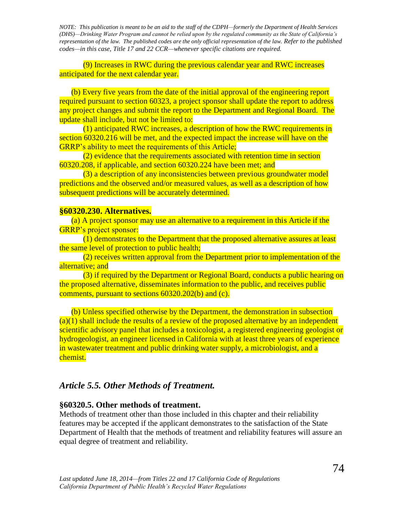(9) Increases in RWC during the previous calendar year and RWC increases anticipated for the next calendar year.

(b) Every five years from the date of the initial approval of the engineering report required pursuant to section 60323, a project sponsor shall update the report to address any project changes and submit the report to the Department and Regional Board. The update shall include, but not be limited to:

(1) anticipated RWC increases, a description of how the RWC requirements in section 60320.216 will be met, and the expected impact the increase will have on the GRRP's ability to meet the requirements of this Article;

(2) evidence that the requirements associated with retention time in section 60320.208, if applicable, and section 60320.224 have been met; and

(3) a description of any inconsistencies between previous groundwater model predictions and the observed and/or measured values, as well as a description of how subsequent predictions will be accurately determined.

#### **§60320.230. Alternatives.**

(a) A project sponsor may use an alternative to a requirement in this Article if the GRRP's project sponsor:

(1) demonstrates to the Department that the proposed alternative assures at least the same level of protection to public health;

(2) receives written approval from the Department prior to implementation of the alternative; and

(3) if required by the Department or Regional Board, conducts a public hearing on the proposed alternative, disseminates information to the public, and receives public comments, pursuant to sections 60320.202(b) and (c).

(b) Unless specified otherwise by the Department, the demonstration in subsection (a)(1) shall include the results of a review of the proposed alternative by an independent scientific advisory panel that includes a toxicologist, a registered engineering geologist or hydrogeologist, an engineer licensed in California with at least three years of experience in wastewater treatment and public drinking water supply, a microbiologist, and a chemist.

# *Article 5.5. Other Methods of Treatment.*

#### **§60320.5. Other methods of treatment.**

Methods of treatment other than those included in this chapter and their reliability features may be accepted if the applicant demonstrates to the satisfaction of the State Department of Health that the methods of treatment and reliability features will assure an equal degree of treatment and reliability.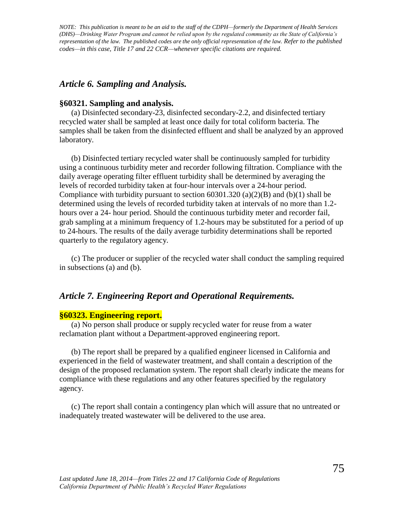### *Article 6. Sampling and Analysis.*

#### **§60321. Sampling and analysis.**

(a) Disinfected secondary-23, disinfected secondary-2.2, and disinfected tertiary recycled water shall be sampled at least once daily for total coliform bacteria. The samples shall be taken from the disinfected effluent and shall be analyzed by an approved laboratory.

(b) Disinfected tertiary recycled water shall be continuously sampled for turbidity using a continuous turbidity meter and recorder following filtration. Compliance with the daily average operating filter effluent turbidity shall be determined by averaging the levels of recorded turbidity taken at four-hour intervals over a 24-hour period. Compliance with turbidity pursuant to section  $60301.320$  (a)(2)(B) and (b)(1) shall be determined using the levels of recorded turbidity taken at intervals of no more than 1.2 hours over a 24- hour period. Should the continuous turbidity meter and recorder fail, grab sampling at a minimum frequency of 1.2-hours may be substituted for a period of up to 24-hours. The results of the daily average turbidity determinations shall be reported quarterly to the regulatory agency.

(c) The producer or supplier of the recycled water shall conduct the sampling required in subsections (a) and (b).

# *Article 7. Engineering Report and Operational Requirements.*

#### **§60323. Engineering report.**

(a) No person shall produce or supply recycled water for reuse from a water reclamation plant without a Department-approved engineering report.

(b) The report shall be prepared by a qualified engineer licensed in California and experienced in the field of wastewater treatment, and shall contain a description of the design of the proposed reclamation system. The report shall clearly indicate the means for compliance with these regulations and any other features specified by the regulatory agency.

(c) The report shall contain a contingency plan which will assure that no untreated or inadequately treated wastewater will be delivered to the use area.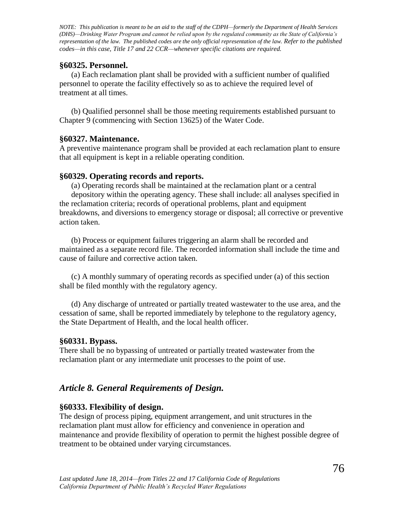### **§60325. Personnel.**

(a) Each reclamation plant shall be provided with a sufficient number of qualified personnel to operate the facility effectively so as to achieve the required level of treatment at all times.

(b) Qualified personnel shall be those meeting requirements established pursuant to Chapter 9 (commencing with Section 13625) of the Water Code.

# **§60327. Maintenance.**

A preventive maintenance program shall be provided at each reclamation plant to ensure that all equipment is kept in a reliable operating condition.

### **§60329. Operating records and reports.**

(a) Operating records shall be maintained at the reclamation plant or a central depository within the operating agency. These shall include: all analyses specified in the reclamation criteria; records of operational problems, plant and equipment breakdowns, and diversions to emergency storage or disposal; all corrective or preventive action taken.

(b) Process or equipment failures triggering an alarm shall be recorded and maintained as a separate record file. The recorded information shall include the time and cause of failure and corrective action taken.

(c) A monthly summary of operating records as specified under (a) of this section shall be filed monthly with the regulatory agency.

(d) Any discharge of untreated or partially treated wastewater to the use area, and the cessation of same, shall be reported immediately by telephone to the regulatory agency, the State Department of Health, and the local health officer.

# **§60331. Bypass.**

There shall be no bypassing of untreated or partially treated wastewater from the reclamation plant or any intermediate unit processes to the point of use.

# *Article 8. General Requirements of Design.*

# **§60333. Flexibility of design.**

The design of process piping, equipment arrangement, and unit structures in the reclamation plant must allow for efficiency and convenience in operation and maintenance and provide flexibility of operation to permit the highest possible degree of treatment to be obtained under varying circumstances.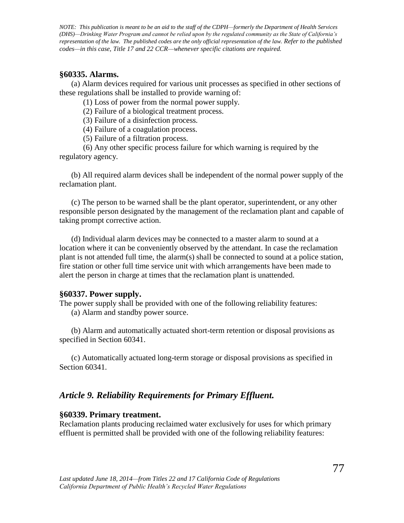#### **§60335. Alarms.**

(a) Alarm devices required for various unit processes as specified in other sections of these regulations shall be installed to provide warning of:

(1) Loss of power from the normal power supply.

(2) Failure of a biological treatment process.

(3) Failure of a disinfection process.

(4) Failure of a coagulation process.

(5) Failure of a filtration process.

(6) Any other specific process failure for which warning is required by the regulatory agency.

(b) All required alarm devices shall be independent of the normal power supply of the reclamation plant.

(c) The person to be warned shall be the plant operator, superintendent, or any other responsible person designated by the management of the reclamation plant and capable of taking prompt corrective action.

(d) Individual alarm devices may be connected to a master alarm to sound at a location where it can be conveniently observed by the attendant. In case the reclamation plant is not attended full time, the alarm(s) shall be connected to sound at a police station, fire station or other full time service unit with which arrangements have been made to alert the person in charge at times that the reclamation plant is unattended.

#### **§60337. Power supply.**

The power supply shall be provided with one of the following reliability features:

(a) Alarm and standby power source.

(b) Alarm and automatically actuated short-term retention or disposal provisions as specified in Section 60341.

(c) Automatically actuated long-term storage or disposal provisions as specified in Section 60341.

# *Article 9. Reliability Requirements for Primary Effluent.*

#### **§60339. Primary treatment.**

Reclamation plants producing reclaimed water exclusively for uses for which primary effluent is permitted shall be provided with one of the following reliability features: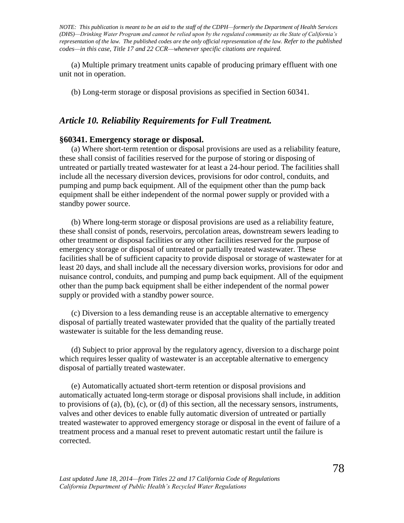(a) Multiple primary treatment units capable of producing primary effluent with one unit not in operation.

(b) Long-term storage or disposal provisions as specified in Section 60341.

### *Article 10. Reliability Requirements for Full Treatment.*

#### **§60341. Emergency storage or disposal.**

(a) Where short-term retention or disposal provisions are used as a reliability feature, these shall consist of facilities reserved for the purpose of storing or disposing of untreated or partially treated wastewater for at least a 24-hour period. The facilities shall include all the necessary diversion devices, provisions for odor control, conduits, and pumping and pump back equipment. All of the equipment other than the pump back equipment shall be either independent of the normal power supply or provided with a standby power source.

(b) Where long-term storage or disposal provisions are used as a reliability feature, these shall consist of ponds, reservoirs, percolation areas, downstream sewers leading to other treatment or disposal facilities or any other facilities reserved for the purpose of emergency storage or disposal of untreated or partially treated wastewater. These facilities shall be of sufficient capacity to provide disposal or storage of wastewater for at least 20 days, and shall include all the necessary diversion works, provisions for odor and nuisance control, conduits, and pumping and pump back equipment. All of the equipment other than the pump back equipment shall be either independent of the normal power supply or provided with a standby power source.

(c) Diversion to a less demanding reuse is an acceptable alternative to emergency disposal of partially treated wastewater provided that the quality of the partially treated wastewater is suitable for the less demanding reuse.

(d) Subject to prior approval by the regulatory agency, diversion to a discharge point which requires lesser quality of wastewater is an acceptable alternative to emergency disposal of partially treated wastewater.

(e) Automatically actuated short-term retention or disposal provisions and automatically actuated long-term storage or disposal provisions shall include, in addition to provisions of (a), (b), (c), or (d) of this section, all the necessary sensors, instruments, valves and other devices to enable fully automatic diversion of untreated or partially treated wastewater to approved emergency storage or disposal in the event of failure of a treatment process and a manual reset to prevent automatic restart until the failure is corrected.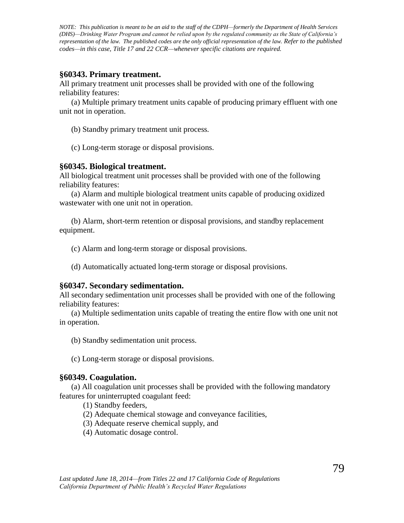### **§60343. Primary treatment.**

All primary treatment unit processes shall be provided with one of the following reliability features:

(a) Multiple primary treatment units capable of producing primary effluent with one unit not in operation.

(b) Standby primary treatment unit process.

(c) Long-term storage or disposal provisions.

### **§60345. Biological treatment.**

All biological treatment unit processes shall be provided with one of the following reliability features:

(a) Alarm and multiple biological treatment units capable of producing oxidized wastewater with one unit not in operation.

(b) Alarm, short-term retention or disposal provisions, and standby replacement equipment.

(c) Alarm and long-term storage or disposal provisions.

(d) Automatically actuated long-term storage or disposal provisions.

### **§60347. Secondary sedimentation.**

All secondary sedimentation unit processes shall be provided with one of the following reliability features:

(a) Multiple sedimentation units capable of treating the entire flow with one unit not in operation.

(b) Standby sedimentation unit process.

(c) Long-term storage or disposal provisions.

### **§60349. Coagulation.**

(a) All coagulation unit processes shall be provided with the following mandatory features for uninterrupted coagulant feed:

(1) Standby feeders,

(2) Adequate chemical stowage and conveyance facilities,

(3) Adequate reserve chemical supply, and

(4) Automatic dosage control.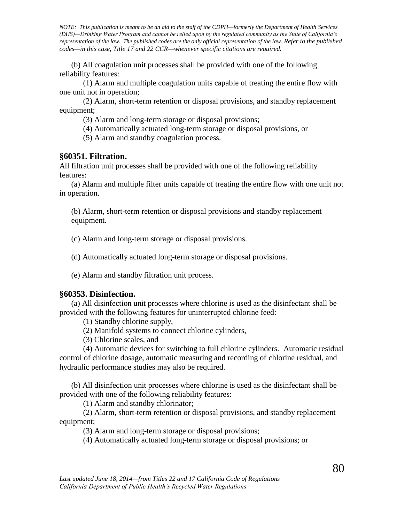(b) All coagulation unit processes shall be provided with one of the following reliability features:

(1) Alarm and multiple coagulation units capable of treating the entire flow with one unit not in operation;

(2) Alarm, short-term retention or disposal provisions, and standby replacement equipment;

(3) Alarm and long-term storage or disposal provisions;

(4) Automatically actuated long-term storage or disposal provisions, or

(5) Alarm and standby coagulation process.

### **§60351. Filtration.**

All filtration unit processes shall be provided with one of the following reliability features:

(a) Alarm and multiple filter units capable of treating the entire flow with one unit not in operation.

(b) Alarm, short-term retention or disposal provisions and standby replacement equipment.

(c) Alarm and long-term storage or disposal provisions.

(d) Automatically actuated long-term storage or disposal provisions.

(e) Alarm and standby filtration unit process.

### **§60353. Disinfection.**

(a) All disinfection unit processes where chlorine is used as the disinfectant shall be provided with the following features for uninterrupted chlorine feed:

(1) Standby chlorine supply,

(2) Manifold systems to connect chlorine cylinders,

(3) Chlorine scales, and

(4) Automatic devices for switching to full chlorine cylinders. Automatic residual control of chlorine dosage, automatic measuring and recording of chlorine residual, and hydraulic performance studies may also be required.

(b) All disinfection unit processes where chlorine is used as the disinfectant shall be provided with one of the following reliability features:

(1) Alarm and standby chlorinator;

(2) Alarm, short-term retention or disposal provisions, and standby replacement equipment;

(3) Alarm and long-term storage or disposal provisions;

(4) Automatically actuated long-term storage or disposal provisions; or